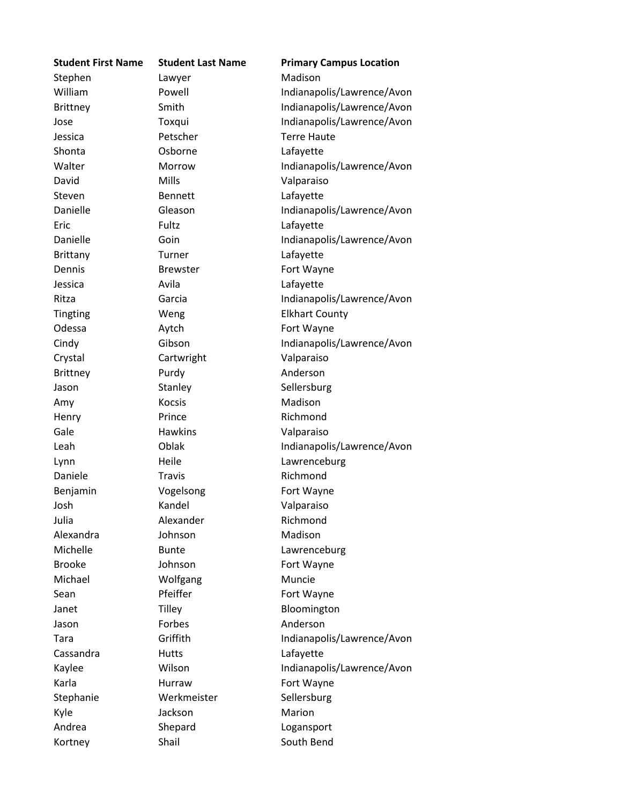| <b>Student First Name</b> | <b>Student Last Name</b> | <b>Primary Campus Location</b> |
|---------------------------|--------------------------|--------------------------------|
| Stephen                   | Lawyer                   | Madison                        |
| William                   | Powell                   | Indianapolis/Lawrence/Avon     |
| <b>Brittney</b>           | Smith                    | Indianapolis/Lawrence/Avon     |
| Jose                      | Toxqui                   | Indianapolis/Lawrence/Avon     |
| Jessica                   | Petscher                 | <b>Terre Haute</b>             |
| Shonta                    | Osborne                  | Lafayette                      |
| Walter                    | Morrow                   | Indianapolis/Lawrence/Avon     |
| David                     | Mills                    | Valparaiso                     |
| Steven                    | <b>Bennett</b>           | Lafayette                      |
| Danielle                  | Gleason                  | Indianapolis/Lawrence/Avon     |
| Eric                      | Fultz                    | Lafayette                      |
| Danielle                  | Goin                     | Indianapolis/Lawrence/Avon     |
| <b>Brittany</b>           | Turner                   | Lafayette                      |
| Dennis                    | <b>Brewster</b>          | Fort Wayne                     |
| Jessica                   | Avila                    | Lafayette                      |
| Ritza                     | Garcia                   | Indianapolis/Lawrence/Avon     |
| <b>Tingting</b>           | Weng                     | <b>Elkhart County</b>          |
| Odessa                    | Aytch                    | Fort Wayne                     |
| Cindy                     | Gibson                   | Indianapolis/Lawrence/Avon     |
| Crystal                   | Cartwright               | Valparaiso                     |
| <b>Brittney</b>           | Purdy                    | Anderson                       |
| Jason                     | Stanley                  | Sellersburg                    |
| Amy                       | <b>Kocsis</b>            | Madison                        |
| Henry                     | Prince                   | Richmond                       |
| Gale                      | <b>Hawkins</b>           | Valparaiso                     |
| Leah                      | Oblak                    | Indianapolis/Lawrence/Avon     |
| Lynn                      | Heile                    | Lawrenceburg                   |
| Daniele                   | <b>Travis</b>            | Richmond                       |
| Benjamin                  | Vogelsong                | Fort Wayne                     |
| Josh                      | Kandel                   | Valparaiso                     |
| Julia                     | Alexander                | Richmond                       |
| Alexandra                 | Johnson                  | Madison                        |
| Michelle                  | <b>Bunte</b>             | Lawrenceburg                   |
| <b>Brooke</b>             | Johnson                  | Fort Wayne                     |
| Michael                   | Wolfgang                 | Muncie                         |
| Sean                      | Pfeiffer                 | Fort Wayne                     |
| Janet                     | Tilley                   | Bloomington                    |
| Jason                     | Forbes                   | Anderson                       |
| Tara                      | Griffith                 | Indianapolis/Lawrence/Avon     |
| Cassandra                 | <b>Hutts</b>             | Lafayette                      |
| Kaylee                    | Wilson                   | Indianapolis/Lawrence/Avon     |
| Karla                     | Hurraw                   | Fort Wayne                     |
| Stephanie                 | Werkmeister              | Sellersburg                    |
| Kyle                      | Jackson                  | Marion                         |
| Andrea                    | Shepard                  | Logansport                     |
| Kortney                   | Shail                    | South Bend                     |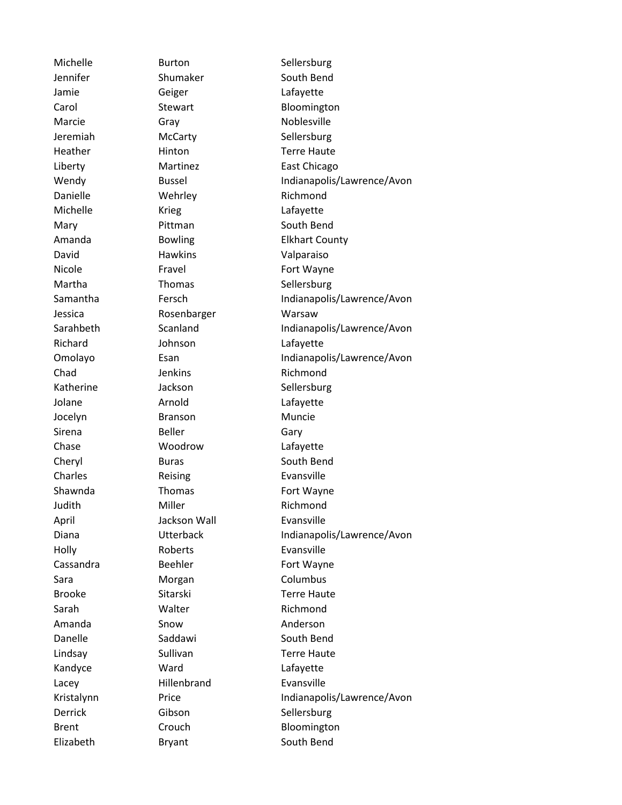Jennifer Shumaker South Bend Jamie Geiger Lafayette Marcie Gray Gray Noblesville Jeremiah McCarty Sellersburg Heather Hinton Hinton Terre Haute Danielle Wehrley Richmond Michelle **Krieg Lafayette** Mary Pittman South Bend David Hawkins Valparaiso Nicole **Fravel** Fravel Fort Wayne Martha Thomas Sellersburg Jessica Rosenbarger Warsaw Richard **Johnson** Lafayette Chad Jenkins Richmond Katherine Jackson Sellersburg Jolane **Arnold Lafayette** Jocelyn Branson Muncie Sirena Beller Gary Chase Woodrow Lafayette Cheryl Buras Buras South Bend Charles Reising Evansville Shawnda Thomas Fort Wayne Judith Miller Miller Richmond April Jackson Wall Evansville Holly Roberts Evansville Cassandra Beehler Fort Wayne Sara **Morgan** Morgan Columbus Brooke Sitarski Terre Haute Sarah Walter Richmond Amanda Snow Anderson Danelle Saddawi South Bend Lindsay Sullivan Terre Haute Kandyce Ward Lafayette Lacey Hillenbrand Evansville Derrick Gibson Sellersburg

Michelle **Burton** Sellersburg Carol Stewart Bloomington Liberty **Martinez** East Chicago Wendy Bussel Bussel Indianapolis/Lawrence/Avon Amanda **Bowling Elkhart County** Samantha Fersch Indianapolis/Lawrence/Avon Sarahbeth Scanland Indianapolis/Lawrence/Avon Omolayo Esan Esan Indianapolis/Lawrence/Avon Diana **Indianapolis/Lawrence/Avon** Kristalynn Price Price Indianapolis/Lawrence/Avon Brent Crouch Crouch Bloomington Elizabeth Bryant South Bend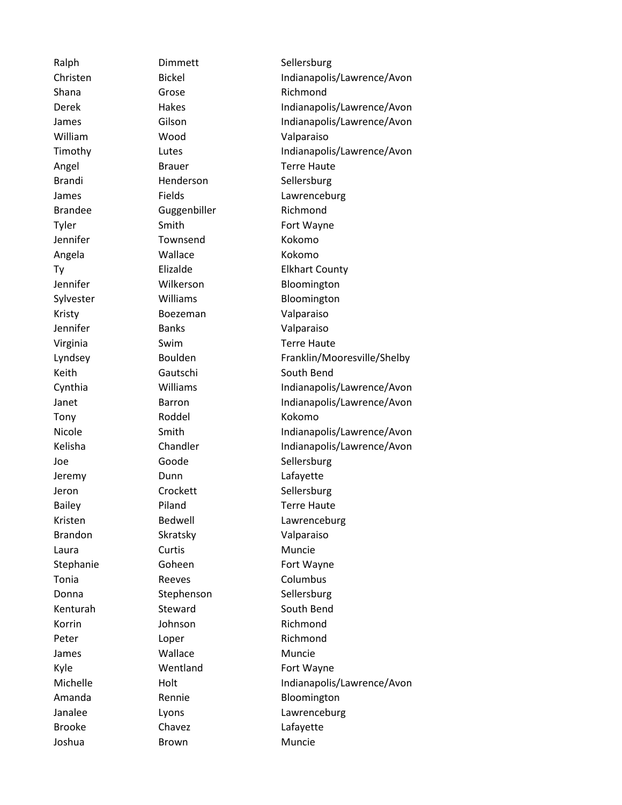Shana Grose Grose Richmond William Wood Valparaiso Brandi Henderson Sellersburg Brandee Guggenbiller Richmond Tyler Smith Smith Fort Wayne Jennifer Townsend Kokomo Angela Wallace Kokomo Kristy Boezeman Valparaiso Jennifer Banks Valparaiso Keith Gautschi South Bend Tony Roddel Kokomo Joe Goode Sellersburg Jeremy Dunn Lafayette Jeron Crockett Sellersburg Brandon Skratsky Valparaiso Laura Curtis Curtis Muncie Stephanie Goheen Fort Wayne Tonia Reeves Columbus Donna Stephenson Sellersburg Kenturah Steward South Bend Korrin Johnson Richmond Peter Loper Loper Richmond James **Wallace** Muncie Kyle Wentland Fort Wayne Brooke Chavez Chavez Lafayette Joshua Brown Muncie

Ralph Dimmett Sellersburg Christen Bickel Bickel Indianapolis/Lawrence/Avon Derek Hakes Indianapolis/Lawrence/Avon James Gilson Gilson Indianapolis/Lawrence/Avon Timothy Lutes Lutes Indianapolis/Lawrence/Avon Angel Brauer Brauer Terre Haute James Fields Eields Lawrenceburg Ty Elizalde Elkhart County Jennifer Wilkerson Bloomington Sylvester Williams Bloomington Virginia Swim Terre Haute Lyndsey Boulden Franklin/Mooresville/Shelby Cynthia Williams Indianapolis/Lawrence/Avon Janet Barron Barron Indianapolis/Lawrence/Avon Nicole Smith Indianapolis/Lawrence/Avon Kelisha Chandler Indianapolis/Lawrence/Avon Bailey **Piland** Piland **Terre Haute** Kristen Bedwell Lawrenceburg Michelle **Holt** Holt Indianapolis/Lawrence/Avon Amanda **Rennie** Rennie Bloomington Janalee **Lyons** Lyons **Lawrenceburg**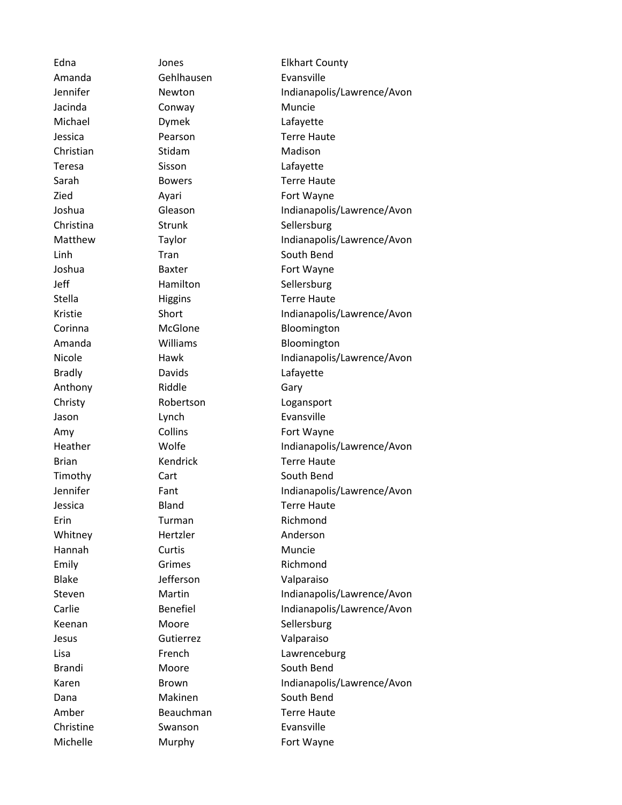Amanda Gehlhausen Evansville Jacinda Conway Conway Muncie Michael Dymek Lafayette Christian Stidam Stidam Madison Teresa Sisson Lafayette Bradly **Davids** Davids **Lafayette** Anthony Riddle Gary Jason Lynch Evansville Erin Turman Richmond Whitney Hertzler Anderson Hannah Curtis Muncie Emily Grimes Richmond Blake Jefferson Valparaiso Jesus Gutierrez Valparaiso Christine Swanson Evansville

Edna Jones Elkhart County Jennifer Newton Indianapolis/Lawrence/Avon Jessica Pearson Terre Haute Sarah Bowers Terre Haute Zied Ayari **Ayari** Fort Wayne Joshua Gleason Gleason Indianapolis/Lawrence/Avon Christina Strunk Sellersburg Matthew Taylor Taylor Indianapolis/Lawrence/Avon Linh Tran South Bend Joshua Baxter **Baxter Fort Wayne** Jeff Hamilton Sellersburg Stella Higgins Higgins Terre Haute Kristie Short Short Indianapolis/Lawrence/Avon Corinna McGlone Bloomington Amanda **Williams** Williams Bloomington Nicole **Hawk** Hawk Indianapolis/Lawrence/Avon Christy Robertson Logansport Amy Collins Collins Fort Wayne Heather **Wolfe** Wolfe Indianapolis/Lawrence/Avon Brian Kendrick Terre Haute Timothy Cart Cart South Bend Jennifer Fant Fant Indianapolis/Lawrence/Avon Jessica Bland Terre Haute Steven Martin Martin Indianapolis/Lawrence/Avon Carlie Benefiel Indianapolis/Lawrence/Avon Keenan Moore Sellersburg Lisa **French** Lawrenceburg Brandi Moore South Bend Karen Brown Brown Indianapolis/Lawrence/Avon Dana Makinen South Bend Amber Beauchman Terre Haute Michelle **Murphy** Fort Wayne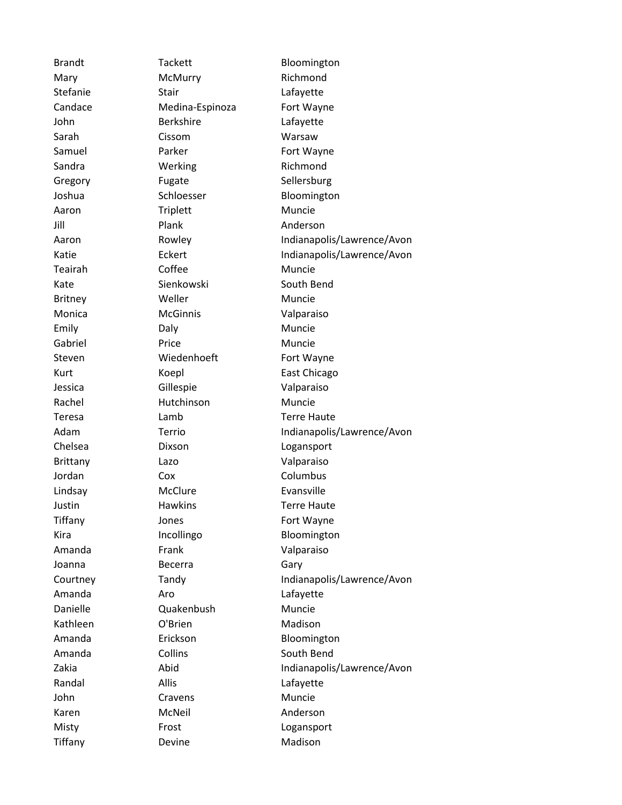Mary McMurry Richmond Stefanie Stair Stair Lafayette Candace Medina-Espinoza Fort Wayne John Berkshire Lafayette Sarah Cissom Warsaw Samuel Parker Fort Wayne Sandra **Werking** Richmond Gregory Fugate Sellersburg Aaron Triplett Muncie Jill Plank Anderson Teairah Coffee Muncie Kate Sienkowski South Bend Britney Weller Muncie Monica McGinnis Valparaiso Emily Daly Daly Muncie Gabriel **Reserves** Price **Muncie** Muncie Steven Wiedenhoeft Fort Wayne Kurt Koepl East Chicago Jessica Gillespie Valparaiso Rachel **Hutchinson** Muncie Teresa Lamb Terre Haute Chelsea Dixson Logansport Brittany Lazo Valparaiso Jordan Cox Cow Columbus Lindsay McClure Evansville Justin Hawkins Terre Haute Tiffany **Jones Fort Wayne** Amanda Frank Valparaiso Joanna **Becerra** Gary Amanda **Aro** Aro **Lafayette** Danielle Quakenbush Muncie Kathleen O'Brien Madison Amanda Collins Collins South Bend Randal Allis Allis Allis Randal John Cravens Muncie Karen McNeil Anderson Misty **Frost** Frost **Logansport** 

Brandt Tackett Bloomington Joshua Schloesser Bloomington Aaron Rowley **Indianapolis/Lawrence/Avon** Katie Eckert Eckert Indianapolis/Lawrence/Avon Adam Terrio Indianapolis/Lawrence/Avon Kira Incollingo Bloomington Courtney Tandy Tandy Indianapolis/Lawrence/Avon Amanda Erickson Bloomington Zakia Abid Indianapolis/Lawrence/Avon Tiffany Devine Devine Madison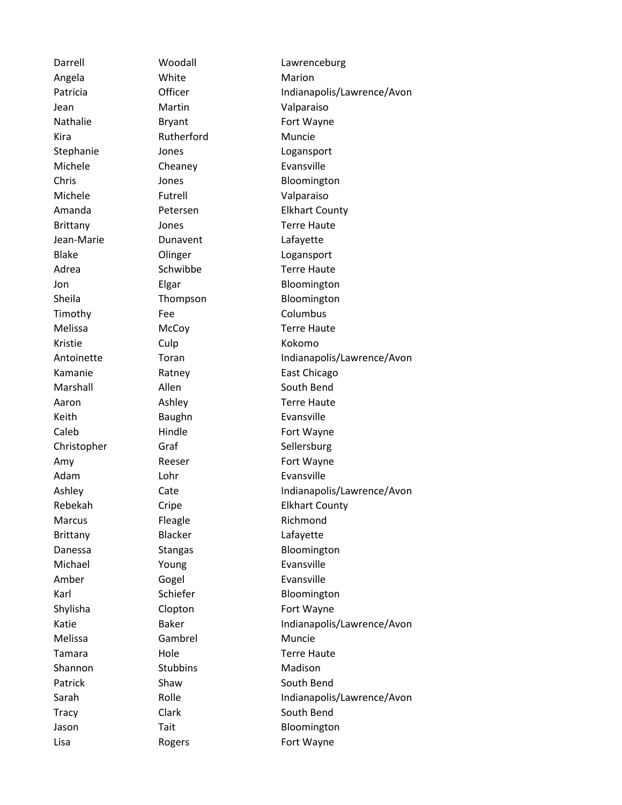Angela **White** Marion Kira **Rutherford** Muncie Michele Cheaney Evansville Jean-Marie **Dunavent** Dean-Marie Timothy Fee Columbus Kristie Culp Culp Kokomo Keith **Baughn** Baughn Evansville Adam Lohr Lohr Evansville Marcus Fleagle Richmond Brittany Blacker Lafayette Michael Young **Evansville** Amber Gogel Evansville Melissa Gambrel Muncie Shannon Stubbins Madison

Darrell Woodall Lawrenceburg Patricia **Officer** Communication of the Indianapolis/Lawrence/Avon Jean Martin Valparaiso Nathalie Bryant Brot Wayne Stephanie Jones Logansport Chris Jones Bloomington Michele Futrell Valparaiso Amanda Petersen Elkhart County Brittany **Jones Terre Haute** Blake Olinger Logansport Adrea Schwibbe Terre Haute Jon Elgar Bloomington Sheila **Thompson** Bloomington Melissa McCoy Terre Haute Antoinette Toran Indianapolis/Lawrence/Avon Kamanie Ratney East Chicago Marshall **Allen** Allen South Bend Aaron Ashley Terre Haute Caleb Hindle Hindle Fort Wayne Christopher Graf Sellersburg Amy Reeser Fort Wayne Ashley Cate Cate Indianapolis/Lawrence/Avon Rebekah Cripe Elkhart County Danessa Stangas Bloomington Karl Schiefer Bloomington Shylisha Clopton Fort Wayne Katie Baker Baker Indianapolis/Lawrence/Avon Tamara **Hole** Hole **Terre Haute** Patrick Shaw Shaw South Bend Sarah Rolle Rolle Indianapolis/Lawrence/Avon Tracy Clark Clark South Bend Jason Tait Bloomington Lisa Rogers **Rogers** Fort Wayne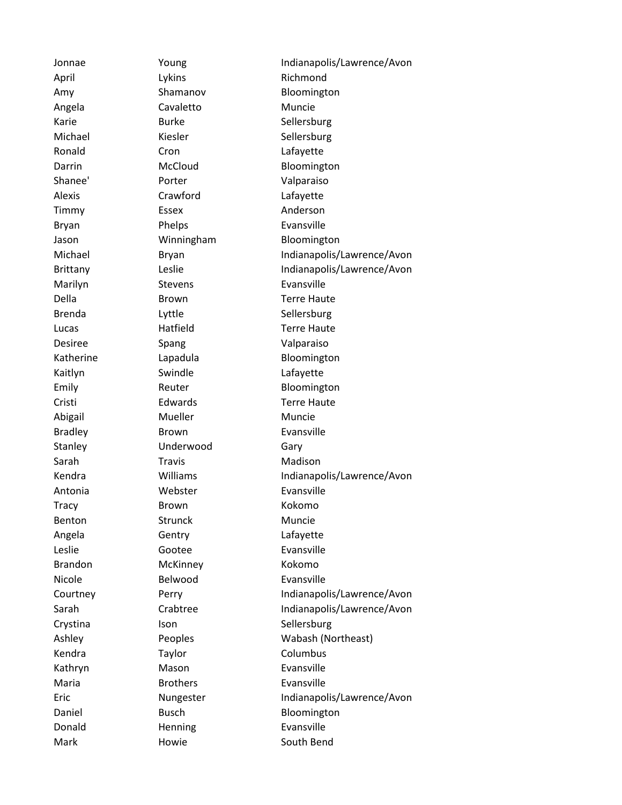April Lykins Lykins Richmond Angela Cavaletto Muncie Karie Burke Sellersburg Michael Kiesler Sellersburg Ronald Cron Cron Lafayette Shanee' Porter Valparaiso Alexis Crawford Lafayette Timmy Essex Anderson Bryan Phelps Evansville Marilyn Stevens Evansville Della **Brown** Brown Terre Haute Brenda Lyttle Sellersburg Lucas **Hatfield Hatfield Terre Haute** Desiree Spang Valparaiso Kaitlyn Swindle Lafayette Cristi Edwards Terre Haute Abigail Mueller Muncie Bradley Brown Brown Evansville Stanley **Underwood** Gary Sarah Travis Travis Madison Antonia Mebster Evansville Tracy Brown Brown Kokomo Benton Strunck Muncie Angela Gentry Lafayette Leslie Gootee Evansville Brandon McKinney Kokomo Nicole Belwood Evansville Crystina Ison Ison Sellersburg Kendra Taylor Columbus Kathryn Mason Evansville Maria **Brothers** Brothers Evansville Donald Henning Evansville Mark **Howie** South Bend

Jonnae Toung Toung Indianapolis/Lawrence/Avon Amy Shamanov Bloomington Darrin McCloud Bloomington Jason **Winningham** Bloomington Michael **Bryan** Bryan Indianapolis/Lawrence/Avon Brittany Leslie **Indianapolis/Lawrence/Avon** Katherine Lapadula Bloomington Emily Reuter Bloomington Kendra **Williams** Williams Indianapolis/Lawrence/Avon Courtney Perry Indianapolis/Lawrence/Avon Sarah Crabtree Indianapolis/Lawrence/Avon Ashley Peoples Wabash (Northeast) Eric Nungester Indianapolis/Lawrence/Avon Daniel Busch Busch Bloomington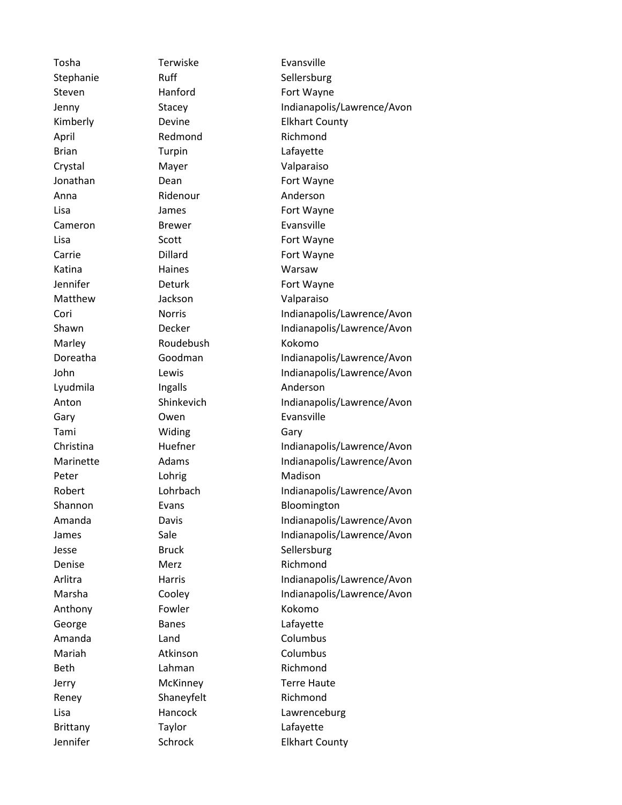Tosha Terwiske Evansville April Redmond Richmond Brian Turpin Lafayette Crystal Mayer Valparaiso Anna Ridenour Anderson Cameron Brewer Evansville Katina **Haines** Haines Warsaw Matthew Jackson Valparaiso Marley Roudebush Kokomo Lyudmila Ingalls Anderson Gary **Owen** Evansville Tami Widing Gary Peter Lohrig Lohrig Madison Denise Merz Richmond Anthony Fowler **Kokomo** George Banes Banes Lafayette Amanda Land Columbus Mariah **Atkinson** Columbus Beth Lahman Richmond Reney Shaneyfelt Richmond Brittany Taylor Care Lafayette

Stephanie Ruff Sellersburg Steven Hanford Fort Wayne Jenny Stacey Indianapolis/Lawrence/Avon Kimberly **Devine** Devine **Elkhart County** Jonathan Dean Dean Fort Wayne Lisa James James Fort Wayne Lisa Scott Scott Fort Wayne Carrie **Dillard Dillard Fort Wayne** Jennifer **Deturk** Deturk **Fort Wayne** Cori Norris Norris Indianapolis/Lawrence/Avon Shawn Decker Indianapolis/Lawrence/Avon Doreatha Goodman Indianapolis/Lawrence/Avon John Lewis Lewis Indianapolis/Lawrence/Avon Anton Shinkevich Indianapolis/Lawrence/Avon Christina Huefner Indianapolis/Lawrence/Avon Marinette Adams Indianapolis/Lawrence/Avon Robert Lohrbach Indianapolis/Lawrence/Avon Shannon Evans Evans Bloomington Amanda Davis Indianapolis/Lawrence/Avon James Sale Sale Indianapolis/Lawrence/Avon Jesse Bruck Sellersburg Arlitra Harris Indianapolis/Lawrence/Avon Marsha Cooley Indianapolis/Lawrence/Avon Jerry McKinney Terre Haute Lisa **Hancock** Lawrenceburg Jennifer Schrock Elkhart County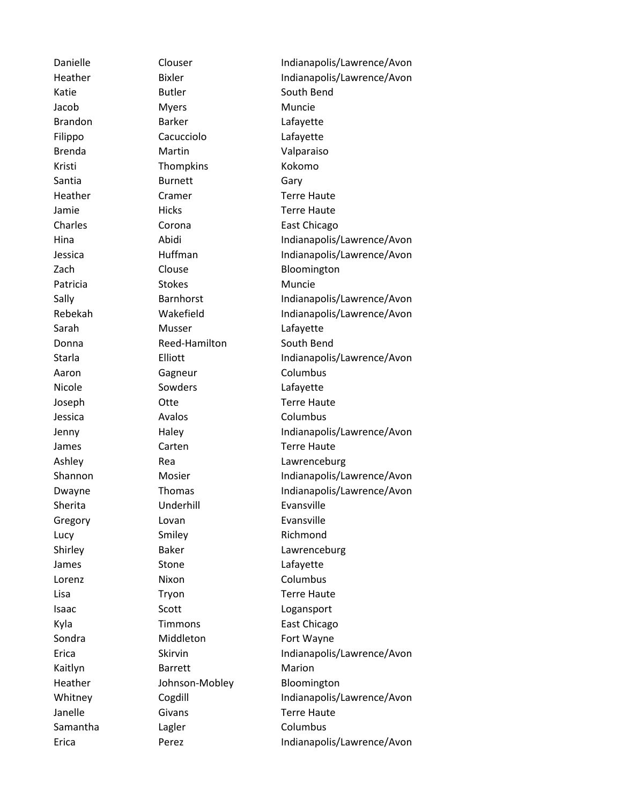Katie Butler Butler South Bend Jacob Myers Muncie Brandon Barker Lafayette Filippo Cacucciolo Lafayette Brenda Martin Valparaiso Kristi **Thompkins** Kokomo Santia **Burnett** Gary Heather Cramer Cramer Terre Haute Jamie Hicks Hicks Terre Haute Charles Corona East Chicago Zach Clouse **Contact Clouse** Bloomington Patricia Stokes Muncie Sarah Musser Lafayette Donna Reed-Hamilton South Bend Aaron Gagneur Columbus Nicole Sowders Lafayette Joseph Otte Terre Haute Jessica Avalos Columbus James Carten Carten Terre Haute Sherita **Underhill** Evansville Gregory **Lovan** Lovan **Evansville** Lucy Smiley Smiley Richmond James Stone Stone Lafayette Lorenz Nixon Columbus Lisa **Tryon** Tryon Terre Haute Isaac Scott Scott Logansport Kyla Timmons East Chicago Sondra Middleton Fort Wayne Kaitlyn Barrett Marion Heather **Johnson-Mobley** Bloomington Janelle Givans Terre Haute Samantha Lagler Columbus

Danielle Clouser Clouser Indianapolis/Lawrence/Avon Heather Bixler Bixler Indianapolis/Lawrence/Avon Hina Abidi Indianapolis/Lawrence/Avon Jessica Huffman Indianapolis/Lawrence/Avon Sally Barnhorst Indianapolis/Lawrence/Avon Rebekah Wakefield Indianapolis/Lawrence/Avon Starla Elliott Elliott Indianapolis/Lawrence/Avon Jenny Haley Indianapolis/Lawrence/Avon Ashley Rea Lawrenceburg Shannon Mosier Indianapolis/Lawrence/Avon Dwayne Thomas Indianapolis/Lawrence/Avon Shirley Baker Lawrenceburg Erica Skirvin Skirvin Indianapolis/Lawrence/Avon Whitney Cogdill Contact Contact Medianapolis/Lawrence/Avon Erica Perez Perez Indianapolis/Lawrence/Avon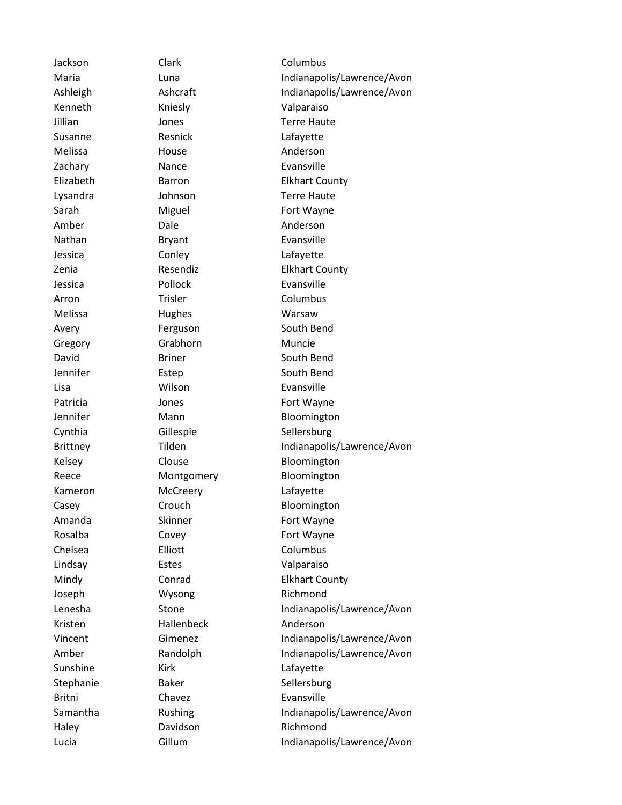Kenneth Kniesly **Valparaiso** Jillian Jones Terre Haute Susanne Resnick Lafayette Melissa **House** House **Anderson** Zachary **Nance Nance** Evansville Lysandra Johnson Terre Haute Sarah Miguel Fort Wayne Amber Dale Anderson Nathan Bryant Bryant Evansville Jessica Conley Lafayette Jessica **Pollock Evansville** Arron Trisler Columbus Melissa Hughes Warsaw Avery **Ferguson** South Bend Gregory Grabhorn Muncie David Briner South Bend Jennifer Estep South Bend Lisa Wilson Evansville Patricia **Fort Wayne** Jones **Fort Wayne** Cynthia Gillespie Sellersburg Kelsey Clouse Clouse Bloomington Reece Montgomery Bloomington Kameron McCreery Lafayette Casey Crouch Bloomington Amanda Skinner Fort Wayne Rosalba Covey **Fort Wayne** Chelsea Elliott Columbus Lindsay Estes Valparaiso Joseph Wysong Richmond Kristen Hallenbeck Anderson Sunshine Kirk Kirk Lafayette Stephanie Baker Sellersburg Britni Chavez Evansville Haley Davidson Richmond

Jackson Clark Clark Columbus Maria **Indianapolis/Lawrence/Avon** Ashleigh Ashcraft Indianapolis/Lawrence/Avon Elizabeth Barron Elkhart County Zenia Resendiz Elkhart County Jennifer Mann Mann Bloomington Brittney Tilden Tilden Indianapolis/Lawrence/Avon Mindy Conrad Elkhart County Lenesha Stone Stone Indianapolis/Lawrence/Avon Vincent Gimenez Indianapolis/Lawrence/Avon Amber Randolph Indianapolis/Lawrence/Avon Samantha Rushing Indianapolis/Lawrence/Avon Lucia Gillum Gillum Indianapolis/Lawrence/Avon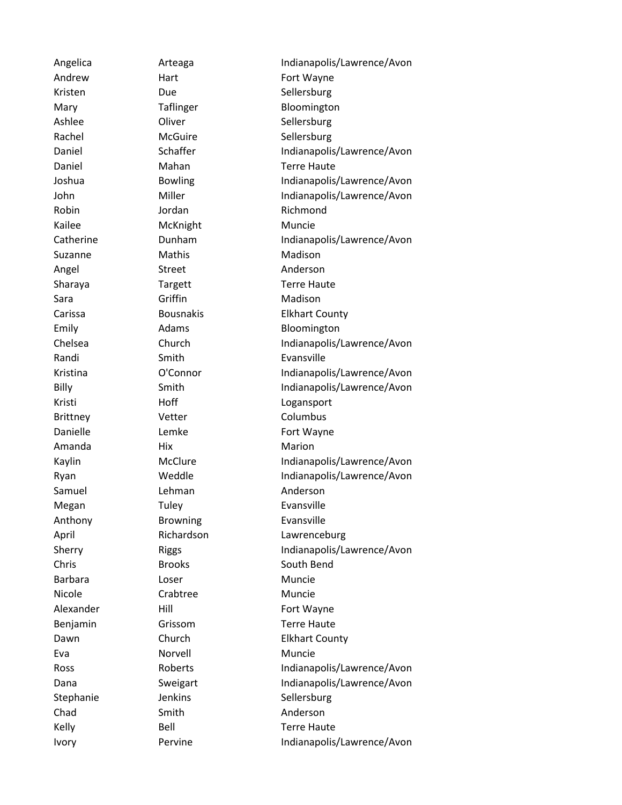Robin **Jordan** Jordan Richmond Kailee McKnight Muncie Suzanne Mathis Madison Angel Street Anderson Sara Griffin Madison Randi Smith Smith Evansville Brittney **Vetter** Columbus Amanda Mix Hix Marion Samuel Lehman Anderson Megan Tuley Tuley Evansville Anthony **Browning** Evansville Barbara **Loser** Loser Muncie Nicole **Crabtree** Muncie Eva Norvell Muncie Chad Smith Smith Anderson

Angelica **Arteaga** Arteaga **Indianapolis/Lawrence/Avon** Andrew Hart Hart Fort Wayne Kristen Due Due Sellersburg Mary Taflinger Bloomington Ashlee Cliver Coliver Collecter Sellersburg Rachel McGuire Sellersburg Daniel Schaffer Indianapolis/Lawrence/Avon Daniel Mahan Terre Haute Joshua Bowling Indianapolis/Lawrence/Avon John Miller Miller Indianapolis/Lawrence/Avon Catherine **Dunham** Dunham Indianapolis/Lawrence/Avon Sharaya Targett Terre Haute Carissa Bousnakis Elkhart County Emily **Adams** Adams Bloomington Chelsea Church Indianapolis/Lawrence/Avon Kristina **O'Connor** Indianapolis/Lawrence/Avon Billy Smith Smith Indianapolis/Lawrence/Avon Kristi Hoff Hoff Logansport Danielle Lemke Fort Wayne Kaylin McClure Indianapolis/Lawrence/Avon Ryan Weddle Indianapolis/Lawrence/Avon April Richardson Lawrenceburg Sherry Riggs Riggs Riggs Riggs Reports Riggs Riggs Reports Relationship Material and Riggs Reports R Total Avon Chris Brooks South Bend Alexander Hill Hill Fort Wayne Benjamin Grissom Terre Haute Dawn Church Elkhart County Ross Roberts Indianapolis/Lawrence/Avon Dana Sweigart Indianapolis/Lawrence/Avon Stephanie **Stephanie** Jenkins Sellersburg Kelly Bell Bell Terre Haute Ivory Pervine **Indianapolis/Lawrence/Avon**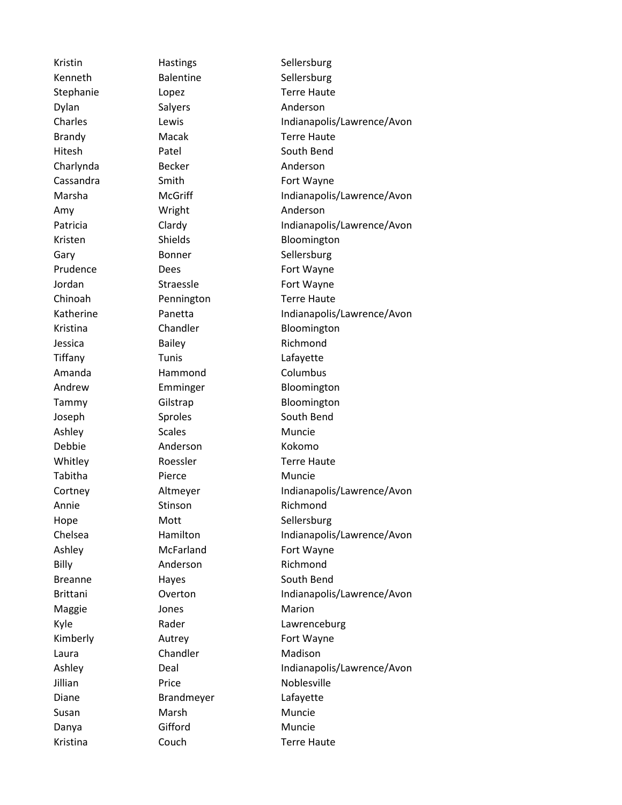Kenneth Balentine Sellersburg Stephanie Lopez Lopez Terre Haute Dylan Salyers Anderson Brandy Macak Terre Haute Hitesh Patel South Bend Charlynda Becker Anderson Cassandra Smith Smith Fort Wayne Amy Wright Anderson Gary Bonner Sellersburg Prudence Dees Dees Fort Wayne Jordan Straessle Fort Wayne Chinoah Pennington Terre Haute Jessica Bailey Bailey Richmond Tiffany Tunis Lafayette Amanda Hammond Columbus Joseph Sproles Sproles South Bend Ashley Scales Scales Muncie Debbie Anderson Kokomo Whitley Roessler Terre Haute Tabitha **Pierce** Muncie Annie Stinson Richmond Hope Mott Sellersburg Ashley McFarland Fort Wayne Billy **Anderson** Richmond Breanne Hayes Hayes South Bend Maggie **Maggie** Jones **Marion** Kimberly **Autrey** Autrey **Fort Wayne** Laura Chandler Madison Jillian **Price Noblesville** Diane Brandmeyer Lafayette Susan Marsh Muncie Danya Gifford Muncie Kristina Couch Terre Haute

Kristin Hastings Sellersburg Charles **Lewis** Lewis **Indianapolis/Lawrence/Avon** Marsha McGriff Indianapolis/Lawrence/Avon Patricia Clardy Clardy Indianapolis/Lawrence/Avon Kristen Shields Bloomington Katherine Panetta Indianapolis/Lawrence/Avon Kristina Chandler Bloomington Andrew Emminger Bloomington Tammy Gilstrap Gilstrap Bloomington Cortney **Altmeyer** Altmeyer **Indianapolis/Lawrence/Avon** Chelsea **Hamilton** Indianapolis/Lawrence/Avon Brittani Coverton Indianapolis/Lawrence/Avon Kyle Rader Rader Lawrenceburg Ashley Deal Deal Indianapolis/Lawrence/Avon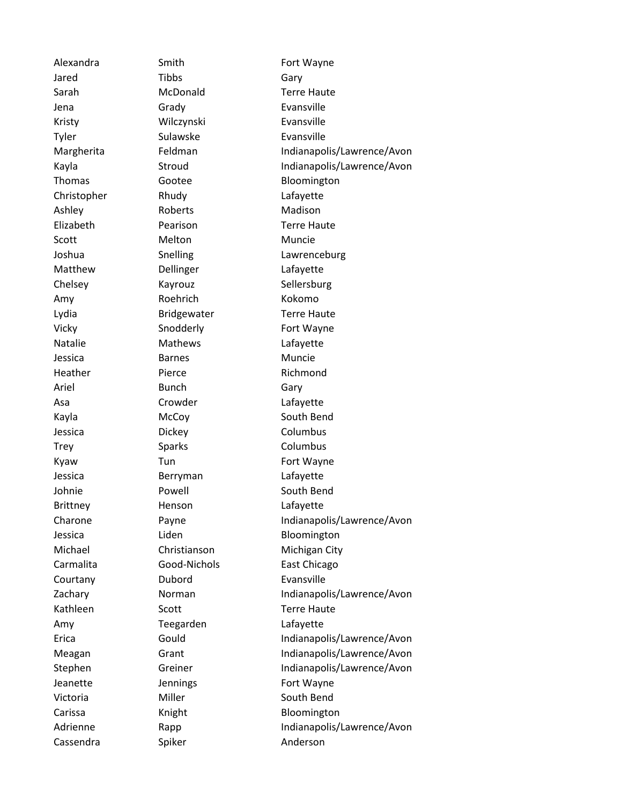Jared Tibbs Gary Sarah McDonald Terre Haute Jena Grady Evansville Kristy Wilczynski Evansville Tyler Sulawske Evansville Christopher Rhudy Lafayette Ashley Roberts Madison Elizabeth Pearison Terre Haute Scott Melton Muncie Matthew Dellinger Lafayette Chelsey **Kayrouz** Kayrouz Sellersburg Amy Roehrich Kokomo Lydia Bridgewater Terre Haute Vicky Snodderly Fort Wayne Natalie Mathews Lafayette Jessica Barnes Muncie Heather Pierce Richmond Ariel Bunch Gary Asa Crowder Lafayette Kayla McCoy South Bend Jessica Dickey Columbus Trey Sparks Sparks Columbus Kyaw Tun Tun Fort Wayne Jessica Berryman Lafayette Johnie **Powell** Powell South Bend Brittney Henson Lafayette Courtany Dubord Evansville Kathleen Scott Terre Haute Amy Teegarden Lafayette Jeanette **Jennings** Fort Wayne Victoria Miller Miller South Bend Cassendra Spiker Spiker Anderson

Alexandra Smith Smith Fort Wayne Margherita Feldman Indianapolis/Lawrence/Avon Kayla Stroud Stroud Indianapolis/Lawrence/Avon Thomas Gootee Bloomington Joshua Snelling Lawrenceburg Charone Payne Payne Indianapolis/Lawrence/Avon Jessica **Liden** Liden Bloomington Michael Christianson Michigan City Carmalita **Good-Nichols** East Chicago Zachary **Norman** Indianapolis/Lawrence/Avon Erica Gould Indianapolis/Lawrence/Avon Meagan Grant Grant Indianapolis/Lawrence/Avon Stephen Greiner Indianapolis/Lawrence/Avon Carissa Knight Bloomington Adrienne Rapp Rapp Indianapolis/Lawrence/Avon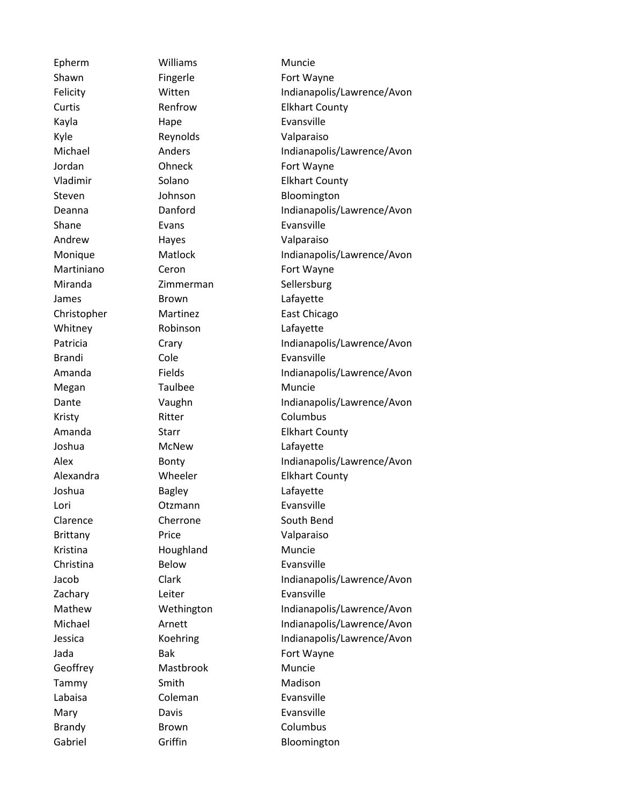Epherm Williams Muncie Shawn Fingerle Fort Wayne Kayla Hape Evansville Kyle Reynolds Valparaiso Jordan **Ohneck** Fort Wayne Shane Evans Evans Evansville Andrew Hayes **Hayang Walparaiso** Martiniano Ceron Ceron Fort Wayne Miranda Zimmerman Sellersburg James Brown Brown Lafayette Whitney Robinson Lafayette Brandi Cole Cole Evansville Megan Taulbee Muncie Kristy Ritter Columbus Joshua McNew Lafayette Joshua Bagley Lafayette Lori Otzmann Evansville Clarence Cherrone South Bend Brittany Price Valparaiso Kristina **Houghland** Muncie Christina Below Evansville Zachary **Leiter** Leiter Evansville Jada Bak Bak Fort Wayne Geoffrey Mastbrook Muncie Tammy Smith Smith Madison Labaisa Coleman Evansville Mary Davis Davis Evansville Brandy **Brown** Brown Columbus

Felicity Witten Witten Indianapolis/Lawrence/Avon Curtis **Renfrow** Elkhart County Michael **Anders** Anders **Indianapolis/Lawrence/Avon** Vladimir Solano Elkhart County Steven Johnson Bloomington Deanna **Danford** Danford **Indianapolis/Lawrence/Avon** Monique Matlock Indianapolis/Lawrence/Avon Christopher Martinez East Chicago Patricia Crary Crary Indianapolis/Lawrence/Avon Amanda Fields Fields Indianapolis/Lawrence/Avon Dante **Vaughn** Vaughn Indianapolis/Lawrence/Avon Amanda Starr Elkhart County Alex Bonty Indianapolis/Lawrence/Avon Alexandra **Wheeler** Elkhart County Jacob Clark Clark Indianapolis/Lawrence/Avon Mathew **Wethington** Indianapolis/Lawrence/Avon Michael **Arnett** Arnett Indianapolis/Lawrence/Avon Jessica Koehring Indianapolis/Lawrence/Avon Gabriel Griffin **Griffin** Bloomington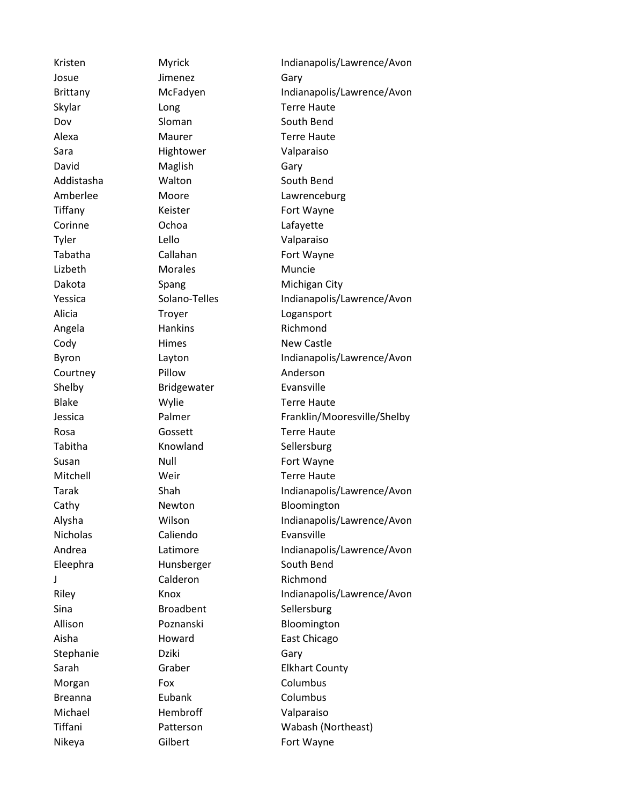Josue **Jimenez** Gary Skylar **Long** Long **Terre Haute** Dov Sloman South Bend Alexa Maurer Terre Haute Sara **Hightower** Valparaiso David Maglish Gary Addistasha **Walton** South Bend Tiffany **Keister** Fort Wayne Corinne Ochoa Lafayette Tyler Lello Valparaiso Tabatha Callahan Callahan Fort Wayne Lizbeth Morales Muncie Dakota Spang Michigan City Alicia **Troyer** Troyer **Logansport** Angela **Hankins** Richmond Cody **Himes** Himes New Castle Courtney Pillow Anderson Shelby Bridgewater Evansville Blake Mylie Wylie Terre Haute Rosa **Gossett** Gossett Terre Haute Tabitha **Knowland** Sellersburg Susan Null Null Fort Wayne Mitchell **Weir** Weir Terre Haute Cathy Newton Bloomington Nicholas Caliendo Evansville Eleephra Hunsberger South Bend J Calderon Richmond Sina Broadbent Sellersburg Allison Poznanski Bloomington Aisha Howard East Chicago Stephanie Dziki Gary Morgan **Fox** Fox Columbus Breanna **Eubank** Columbus Michael Hembroff Valparaiso Nikeya Gilbert Fort Wayne

Kristen Myrick Indianapolis/Lawrence/Avon Brittany McFadyen Indianapolis/Lawrence/Avon Amberlee Moore Lawrenceburg Yessica Solano-Telles Indianapolis/Lawrence/Avon Byron Layton Layton Indianapolis/Lawrence/Avon Jessica Palmer Franklin/Mooresville/Shelby Tarak Shah Shah Indianapolis/Lawrence/Avon Alysha Wilson Wilson Indianapolis/Lawrence/Avon Andrea Latimore Indianapolis/Lawrence/Avon Riley Knox Knox Indianapolis/Lawrence/Avon Sarah Graber Elkhart County Tiffani Patterson Wabash (Northeast)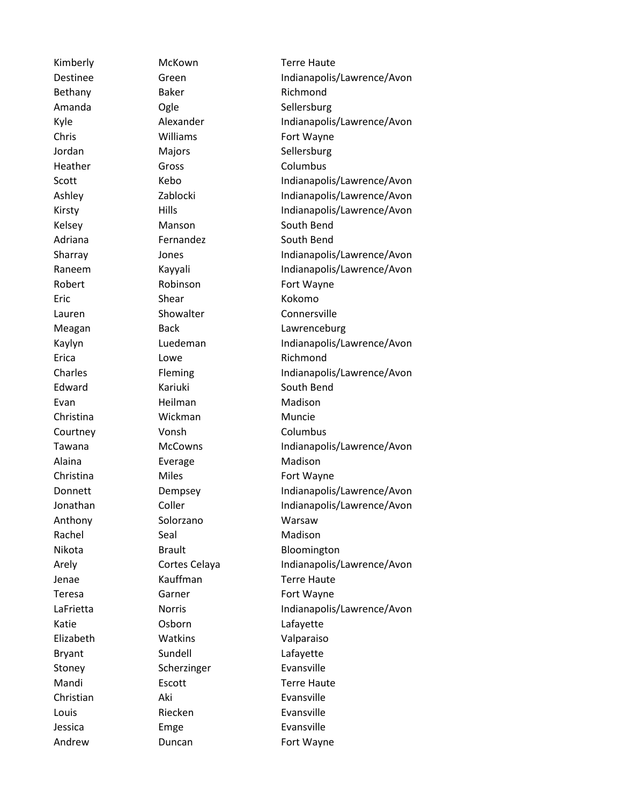Bethany Baker Richmond Amanda **Ogle** Ogle Sellersburg Chris Williams Fort Wayne Jordan Majors Sellersburg Heather Gross Group Columbus Kelsey Manson South Bend Adriana **Fernandez** South Bend Robert Robinson Fort Wayne Eric Shear Kokomo Erica **Lowe** Lowe Richmond Edward Kariuki South Bend Evan Heilman Madison Christina Wickman Muncie Courtney Vonsh Columbus Alaina **Everage** Madison Christina Miles Miles Fort Wayne Anthony Solorzano Warsaw Rachel Seal Seal Madison Jenae Kauffman Terre Haute Teresa Garner Garner Fort Wayne Katie Osborn Lafayette Elizabeth Watkins Valparaiso Bryant Sundell Lafayette Stoney Scherzinger Evansville Christian Aki Evansville Louis **Riecken Evansville** Jessica Emge Emersion Evansville Andrew Duncan **Fort Wayne** 

Kimberly McKown Terre Haute Destinee Green Green Indianapolis/Lawrence/Avon Kyle Alexander Indianapolis/Lawrence/Avon Scott Kebo **Indianapolis/Lawrence/Avon** Ashley **Zablocki** Indianapolis/Lawrence/Avon Kirsty Hills Hills Hills Indianapolis/Lawrence/Avon Sharray **Indianapolis/Lawrence/Avon** Raneem Kayyali Indianapolis/Lawrence/Avon Lauren Showalter Connersville Meagan **Back Lawrenceburg** Kaylyn Luedeman Indianapolis/Lawrence/Avon Charles Fleming Indianapolis/Lawrence/Avon Tawana McCowns Indianapolis/Lawrence/Avon Donnett Dempsey Indianapolis/Lawrence/Avon Jonathan Coller Indianapolis/Lawrence/Avon Nikota Brault Bloomington Arely Cortes Celaya Indianapolis/Lawrence/Avon LaFrietta **Norris** Norris **Indianapolis/Lawrence/Avon** Mandi **Escott** Escott **Terre Haute**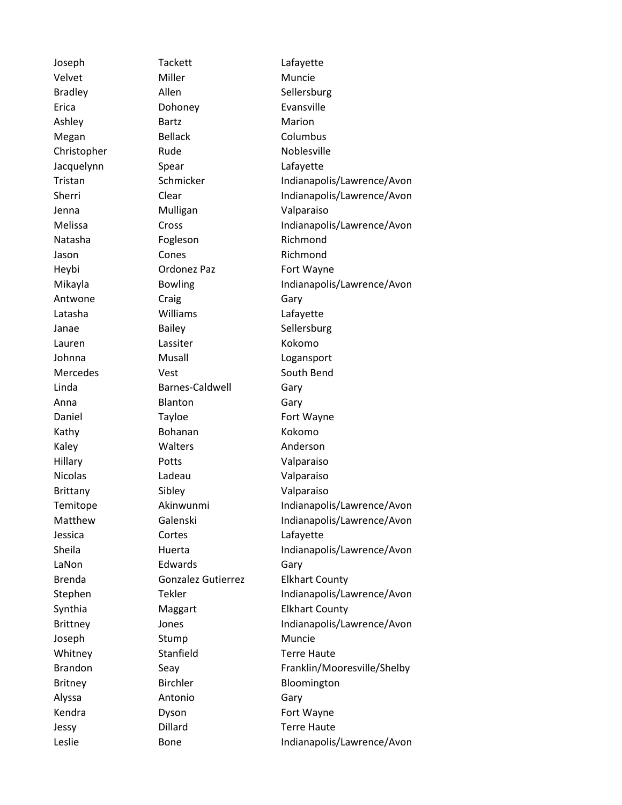Joseph Tackett Lafayette Velvet Miller Miller Muncie Bradley Allen Allen Sellersburg Erica Dohoney Evansville Ashley Bartz Marion Megan Bellack Columbus Christopher Rude Noblesville Jacquelynn Spear Lafayette Jenna Mulligan Valparaiso Natasha **Fogleson** Richmond Jason Cones **Cones** Richmond Heybi **Ordonez Paz** Fort Wayne Antwone Craig Craig Gary Latasha Williams Lafayette Janae Bailey Sellersburg Lauren Lassiter Kokomo Johnna Musall Logansport Mercedes Vest Vest South Bend Linda Barnes-Caldwell Gary Anna Blanton Gary Daniel Tayloe Fort Wayne Kathy **Bohanan** Kokomo Kaley **Walters** Muslem Muslem Muslem Muslem Muslem Muslem Muslem Muslem Muslem Muslem Muslem Muslem Muslem Muslem Muslem Muslem Muslem Muslem Muslem Muslem Muslem Muslem Muslem Muslem Muslem Muslem Muslem Muslem Muslem Mus Hillary Potts Valparaiso Nicolas Ladeau Valparaiso Brittany Sibley Sibley Valparaiso Jessica Cortes Lafayette LaNon Edwards Gary Joseph Stump Stump Muncie Whitney Stanfield Terre Haute Britney Birchler Bloomington Alyssa Antonio Gary Kendra **Dyson** Dyson Fort Wayne Jessy Dillard Terre Haute

Tristan Schmicker Indianapolis/Lawrence/Avon Sherri Clear Clear Indianapolis/Lawrence/Avon Melissa Cross Indianapolis/Lawrence/Avon Mikayla Bowling Indianapolis/Lawrence/Avon Temitope Akinwunmi Indianapolis/Lawrence/Avon Matthew Galenski Indianapolis/Lawrence/Avon Sheila **Huerta** Huerta Indianapolis/Lawrence/Avon Brenda Gonzalez Gutierrez Elkhart County Stephen Tekler Indianapolis/Lawrence/Avon Synthia Maggart Elkhart County Brittney **Indianapolis/Lawrence/Avon** Brandon Seay Seay Franklin/Mooresville/Shelby Leslie Bone Bone Indianapolis/Lawrence/Avon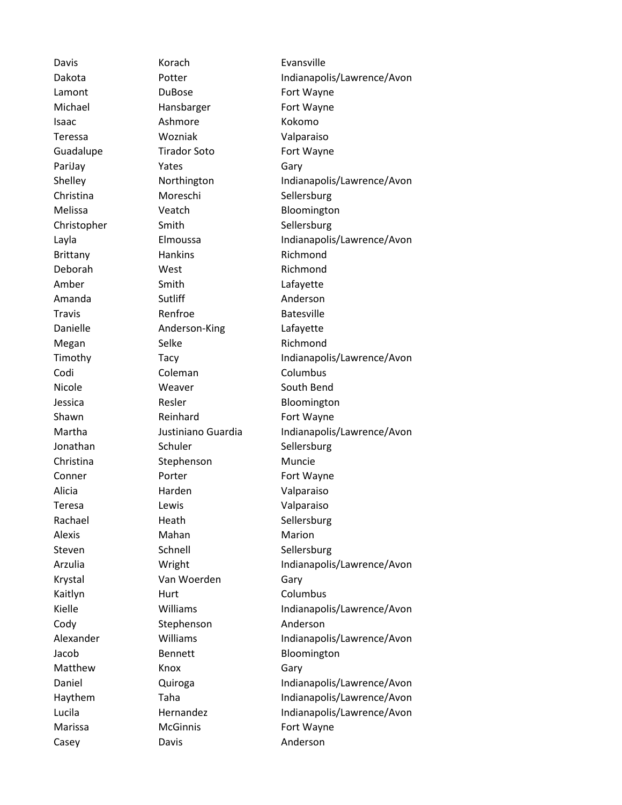Davis **Korach** Evansville Lamont DuBose **Fort Wayne** Michael Hansbarger Fort Wayne Isaac Ashmore Kokomo Teressa Wozniak Valparaiso Guadalupe **Tirador Soto** Fort Wayne PariJay **Paridal Parizawa Parizawa Parizawa Parizawa Parizawa Parizawa Cary** Christina Moreschi Sellersburg Melissa **Veatch Bloomington** Christopher Smith Sellersburg Brittany Hankins Richmond Deborah West Richmond Amber Smith Smith Lafayette Amanda Sutliff **Anderson** Travis **Renfroe** Batesville Danielle **Anderson-King** Lafayette Megan Selke Richmond Codi Coleman Columbus Nicole Meaver Weaver South Bend Jessica Resler Resler Bloomington Shawn Reinhard Fort Wayne Jonathan Schuler Schuler Sellersburg Christina Stephenson Muncie Conner Porter Porter Fort Wayne Alicia Harden Valparaiso Teresa Lewis Valparaiso Rachael Heath Sellersburg Alexis Mahan Marion Steven Schnell Schnell Sellersburg Krystal Van Woerden Gary Kaitlyn Hurt Columbus Cody Stephenson Anderson Jacob Bennett Bloomington Matthew **Knox Gary** Marissa McGinnis Fort Wayne Casey **Davis** Davis **Anderson** 

Dakota Potter **Indianapolis/Lawrence/Avon** Shelley **Northington** Indianapolis/Lawrence/Avon Layla **Elmoussa** Elmoussa Indianapolis/Lawrence/Avon Timothy Tacy Tacy Indianapolis/Lawrence/Avon Martha Justiniano Guardia Indianapolis/Lawrence/Avon Arzulia **Indianapolis/Lawrence/Avon** Kielle **Williams** Williams Indianapolis/Lawrence/Avon Alexander Williams Indianapolis/Lawrence/Avon Daniel **Quiroga Indianapolis/Lawrence/Avon** Haythem Taha Indianapolis/Lawrence/Avon Lucila **Hernandez** Indianapolis/Lawrence/Avon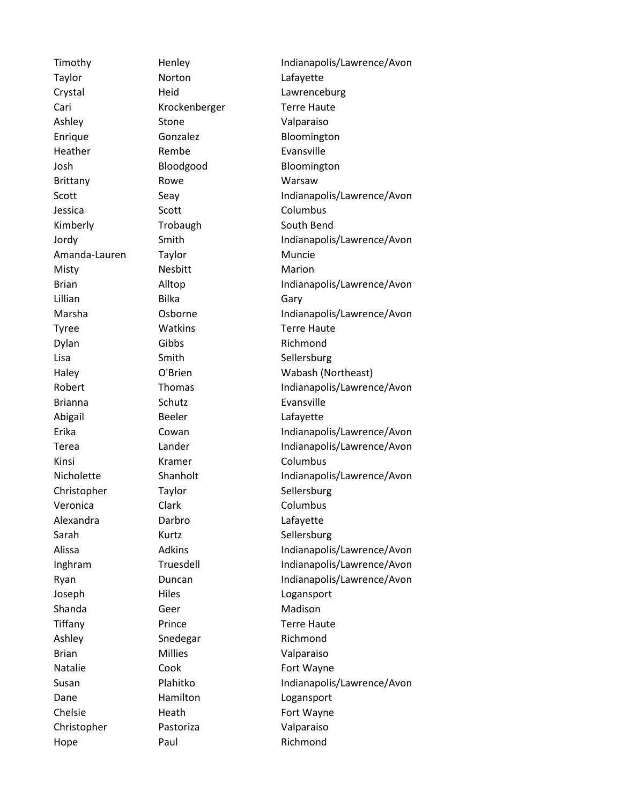Taylor **Norton** Norton Lafayette Cari Krockenberger Terre Haute Ashley Stone Valparaiso Enrique Gonzalez Bloomington Heather Rembe **Rembe** Evansville Josh Bloodgood Bloomington Brittany Rowe Warsaw Jessica Scott Scott Columbus Kimberly Trobaugh South Bend Amanda-Lauren Taylor Muncie Misty Nesbitt Marion Lillian Bilka Gary Tyree **Watkins Watkins** Terre Haute Dylan Gibbs Richmond Lisa Smith Smith Sellersburg Brianna Schutz Evansville Abigail Beeler Lafayette Kinsi Kramer Columbus Christopher Taylor Taylor Sellersburg Veronica Clark Columbus Alexandra Darbro Lafayette Sarah Kurtz Sellersburg Joseph Hiles Logansport Shanda Geer Madison Tiffany Prince **Terre Haute** Ashley Snedegar Richmond Brian Millies Valparaiso Natalie Cook Cook Fort Wayne Dane Hamilton Logansport Chelsie Heath Fort Wayne Christopher Pastoriza Valparaiso

Timothy Henley Henley Indianapolis/Lawrence/Avon Crystal **Heid** Heid Lawrenceburg Scott Seay Seay Indianapolis/Lawrence/Avon Jordy Smith Smith Indianapolis/Lawrence/Avon Brian Alltop Alltop Indianapolis/Lawrence/Avon Marsha Cosborne Indianapolis/Lawrence/Avon Haley O'Brien Wabash (Northeast) Robert Thomas Indianapolis/Lawrence/Avon Erika Cowan Indianapolis/Lawrence/Avon Terea **Indianapolis/Lawrence/Avon** Nicholette Shanholt Indianapolis/Lawrence/Avon Alissa Adkins Indianapolis/Lawrence/Avon Inghram Truesdell Indianapolis/Lawrence/Avon Ryan Duncan Indianapolis/Lawrence/Avon Susan Plahitko Indianapolis/Lawrence/Avon Hope **Paul** Paul Richmond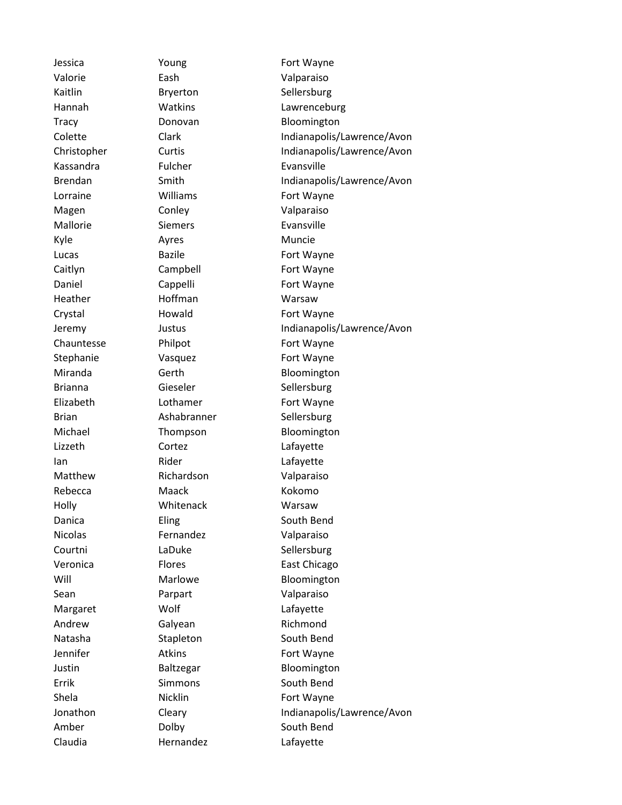Valorie Eash Valparaiso Kassandra Fulcher Evansville Magen Conley Constants Constants Constants Constants Constants Constants Valparaiso Mallorie Siemers Evansville Kyle Ayres Ayres Muncie Heather Hoffman Warsaw Lizzeth Cortez Lafayette Ian Rider Rider Lafayette Matthew Richardson Valparaiso Rebecca Maack Kokomo Holly Whitenack Warsaw Nicolas Fernandez Valparaiso Sean Parpart Valparaiso Margaret Wolf Lafayette Andrew Galyean Richmond Claudia Hernandez Lafayette

Jessica **The Young Communist Property** Fort Wayne Kaitlin Bryerton Sellersburg Hannah Watkins Lawrenceburg Tracy **Donovan** Bloomington Colette Clark Indianapolis/Lawrence/Avon Christopher Curtis Curtis Indianapolis/Lawrence/Avon Brendan Smith Smith Indianapolis/Lawrence/Avon Lorraine **Williams** Fort Wayne Lucas Bazile **Bazile** Fort Wayne Caitlyn Campbell Fort Wayne Daniel Cappelli Fort Wayne Crystal **Howald** Howald Fort Wayne Jeremy Justus Indianapolis/Lawrence/Avon Chauntesse Philpot Fort Wayne Stephanie **Vasquez Fort Wayne** Miranda **Gerth** Gerth **Bloomington** Brianna Gieseler Sellersburg Elizabeth Lothamer Fort Wayne Brian Ashabranner Sellersburg Michael Thompson Bloomington Danica Eling Eling South Bend Courtni LaDuke Sellersburg Veronica Flores East Chicago Will Marlowe Bloomington Natasha Stapleton South Bend Jennifer **Atkins** Atkins Fort Wayne Justin Baltzegar Bloomington Errik Simmons South Bend Shela **Nicklin** Nicklin Fort Wayne Jonathon Cleary Cleary Indianapolis/Lawrence/Avon Amber Dolby South Bend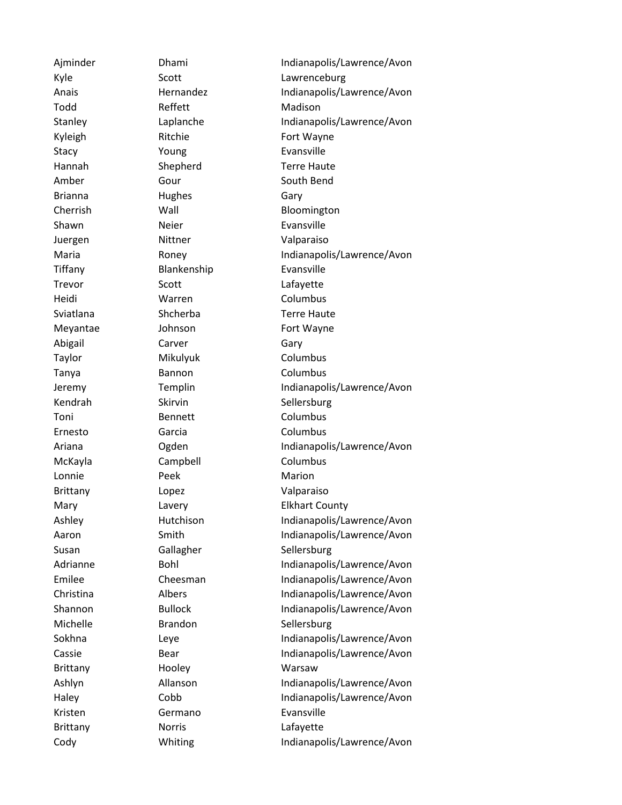Todd Reffett Madison Stacy **Young Evansville** Brianna Hughes Gary Shawn Neier Neier Evansville Juergen Nittner Valparaiso Tiffany Blankenship Evansville Trevor Scott Scott Lafayette Heidi Warren Columbus Abigail Carver Gary Taylor Mikulyuk Columbus Tanya Bannon Columbus Toni Bennett Columbus Ernesto Garcia Columbus McKayla Campbell Columbus Lonnie Peek Marion Brittany Lopez Valparaiso Brittany Hooley Warsaw Kristen Germano Evansville Brittany **Norris** Norris **Lafayette** 

Ajminder Dhami Indianapolis/Lawrence/Avon Kyle Scott Scott Lawrenceburg Anais **Hernandez** Indianapolis/Lawrence/Avon Stanley **Indianapolis/Lawrence/Avon** Kyleigh Ritchie Fort Wayne Hannah Shepherd Terre Haute Amber Gour Gour South Bend Cherrish Wall Bloomington Maria **Indianapolis/Lawrence/Avon** Sviatlana Shcherba Terre Haute Meyantae Johnson Fort Wayne Jeremy Templin Indianapolis/Lawrence/Avon Kendrah Skirvin Sellersburg Ariana **Ogden** Oggen Indianapolis/Lawrence/Avon Mary **Lavery Lavery** Elkhart County Ashley Hutchison Indianapolis/Lawrence/Avon Aaron Smith Smith Indianapolis/Lawrence/Avon Susan Gallagher Sellersburg Adrianne Bohl Bohl Indianapolis/Lawrence/Avon Emilee Cheesman Indianapolis/Lawrence/Avon Christina Albers Indianapolis/Lawrence/Avon Shannon Bullock Indianapolis/Lawrence/Avon Michelle **Brandon** Sellersburg Sokhna Leye Leye Indianapolis/Lawrence/Avon Cassie Bear Bear Indianapolis/Lawrence/Avon Ashlyn Allanson Indianapolis/Lawrence/Avon Haley Cobb Indianapolis/Lawrence/Avon Cody Whiting Indianapolis/Lawrence/Avon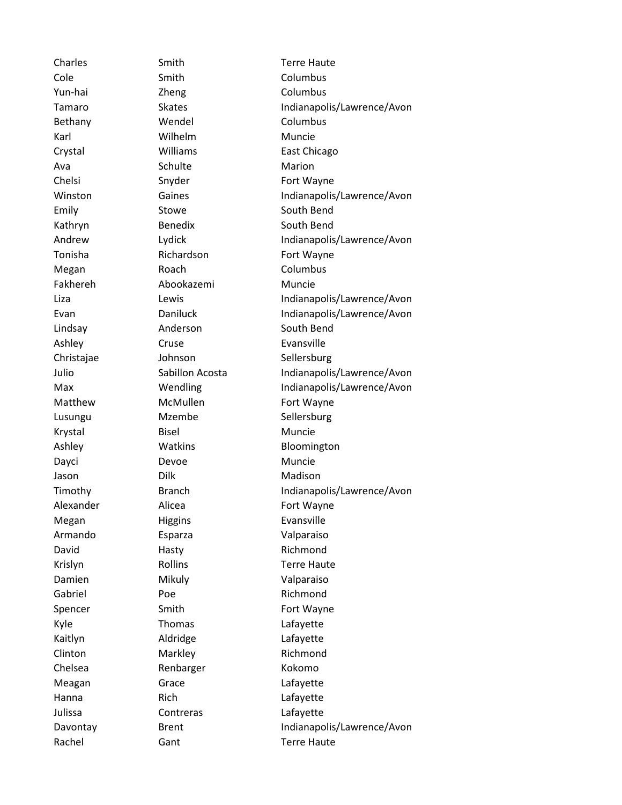Cole Smith Columbus Yun-hai Zheng Columbus Bethany **Wendel** Columbus Karl Wilhelm Muncie Crystal Williams East Chicago Ava Schulte Marion Chelsi Snyder Snyder Fort Wayne Emily Stowe Stowe South Bend Kathryn Benedix South Bend Tonisha Richardson Fort Wayne Megan Roach Columbus Fakhereh Abookazemi Muncie Lindsay **Anderson** South Bend Ashley Cruse Cruse Evansville Christajae Johnson Sellersburg Matthew McMullen Fort Wayne Lusungu Mzembe Sellersburg Krystal Bisel Bisel Muncie Ashley **Watkins** Bloomington Dayci Devoe Muncie Jason Dilk Madison Alexander Alicea Fort Wayne Megan Higgins Higgins Evansville Armando Esparza Valparaiso David Hasty Hasty Richmond Krislyn Rollins Terre Haute Damien Mikuly Valparaiso Gabriel Poe Poe Richmond Spencer Smith Fort Wayne Kyle Thomas Lafayette Kaitlyn Aldridge Lafayette Clinton Markley Richmond Chelsea Renbarger Kokomo Meagan Grace Lafayette Hanna Rich Rich Lafayette Julissa Contreras Lafayette Rachel **Gant** Gant Terre Haute

Charles **Smith** Smith Terre Haute Tamaro Skates Skates Indianapolis/Lawrence/Avon Winston Gaines Gaines Indianapolis/Lawrence/Avon Andrew **Indianapolis/Lawrence/Avon** Liza Lewis Indianapolis/Lawrence/Avon Evan Daniluck Indianapolis/Lawrence/Avon Julio Sabillon Acosta Indianapolis/Lawrence/Avon Max **Wendling Indianapolis/Lawrence/Avon** Timothy **Branch** Branch Indianapolis/Lawrence/Avon Davontay Brent Indianapolis/Lawrence/Avon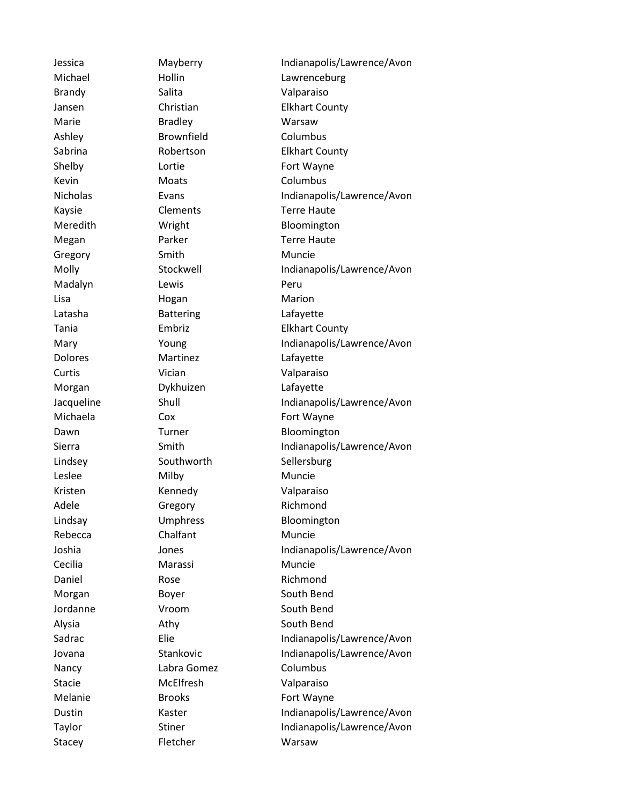Brandy Salita Valparaiso Marie Bradley Bradley Warsaw Ashley Brownfield Columbus Shelby **Lortie Example 20** Lortie **Fort Wayne** Kevin Moats Moats Columbus Kaysie Clements Terre Haute Megan Parker Terre Haute Gregory Smith Muncie Madalyn Lewis Communication Deru Lisa Hogan Marion Latasha Battering Lafayette Dolores Martinez Lafayette Curtis **Vician** Vician Valparaiso Morgan Dykhuizen Lafayette Michaela Cox Cox Fort Wayne Lindsey Southworth Sellersburg Leslee Milby Milby Muncie Kristen Kennedy Valparaiso Adele Gregory Richmond Rebecca Chalfant Muncie Cecilia Marassi Muncie Daniel Rose Rose Richmond Morgan Boyer Boyer South Bend Jordanne Vroom South Bend Alysia **Athy** Athy **Athy** South Bend Nancy Labra Gomez Columbus Stacie McElfresh Valparaiso Melanie Brooks Fort Wayne Stacey **Fletcher** Warsaw

Jessica Mayberry Indianapolis/Lawrence/Avon Michael Hollin Hollin Lawrenceburg Jansen Christian Elkhart County Sabrina **Robertson** Elkhart County Nicholas Evans Evans Indianapolis/Lawrence/Avon Meredith Wright Bloomington Molly Stockwell Indianapolis/Lawrence/Avon Tania Embriz Elkhart County Mary **Young Indianapolis/Lawrence/Avon** Jacqueline Shull Shull Indianapolis/Lawrence/Avon Dawn Turner Bloomington Sierra Smith Smith Indianapolis/Lawrence/Avon Lindsay Umphress Bloomington Joshia Jones Indianapolis/Lawrence/Avon Sadrac Elie Elie Indianapolis/Lawrence/Avon Jovana Stankovic Indianapolis/Lawrence/Avon Dustin Kaster Indianapolis/Lawrence/Avon Taylor Stiner Stiner Indianapolis/Lawrence/Avon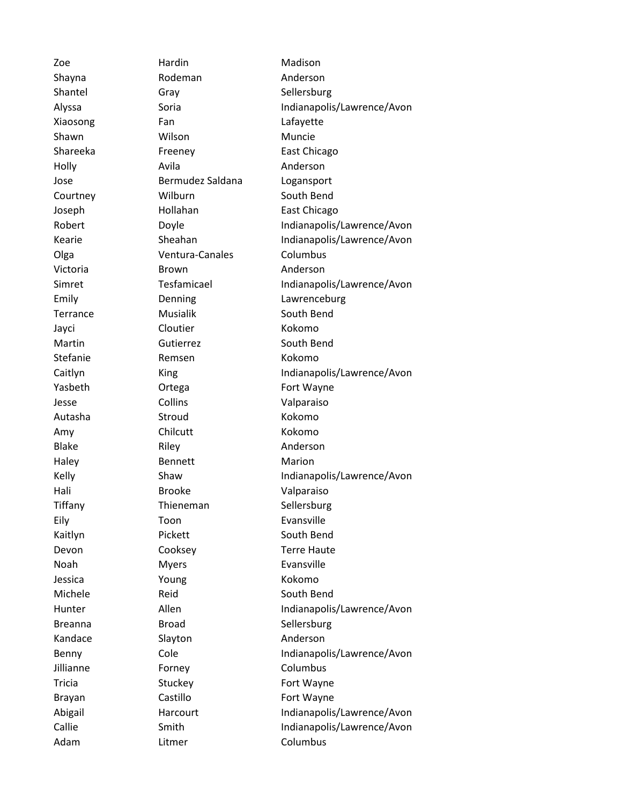Shayna Rodeman Anderson Shantel Gray Gray Sellersburg Xiaosong Fan Lafayette Shawn Wilson Muncie Holly Avila Anderson Jose Bermudez Saldana Logansport Courtney **Wilburn** South Bend Olga **Ventura-Canales** Columbus Victoria Brown Anderson Terrance Musialik South Bend Jayci Cloutier Kokomo Martin Gutierrez South Bend Stefanie **Remsen** Kokomo Jesse Collins Valparaiso Autasha Stroud Kokomo Amy Chilcutt Kokomo Blake Riley Riley Anderson Haley **Bennett** Marion Hali Brooke Valparaiso Tiffany Thieneman Sellersburg Eily **Toon** Toon Evansville Kaitlyn Pickett South Bend Noah Myers Evansville Jessica Young Kokomo Michele Reid Reid South Bend Breanna **Broad** Broad Sellersburg Kandace Slayton Slayton Anderson Jillianne Forney Columbus Adam **Litmer** Columbus

Zoe **Hardin** Hardin Madison Alyssa Soria Indianapolis/Lawrence/Avon Shareeka Freeney East Chicago Joseph Hollahan East Chicago Robert Doyle Indianapolis/Lawrence/Avon Kearie Sheahan Indianapolis/Lawrence/Avon Simret Tesfamicael Indianapolis/Lawrence/Avon Emily Denning Lawrenceburg Caitlyn King King Indianapolis/Lawrence/Avon Yasbeth **Ortega Fort Wayne** Kelly Shaw Shaw Indianapolis/Lawrence/Avon Devon Cooksey Terre Haute Hunter Allen Allen Indianapolis/Lawrence/Avon Benny Cole Cole Indianapolis/Lawrence/Avon Tricia Stuckey Fort Wayne Brayan Castillo Castillo Fort Wayne Abigail **Harcourt** Harcourt **Indianapolis/Lawrence/Avon** Callie Smith Smith Indianapolis/Lawrence/Avon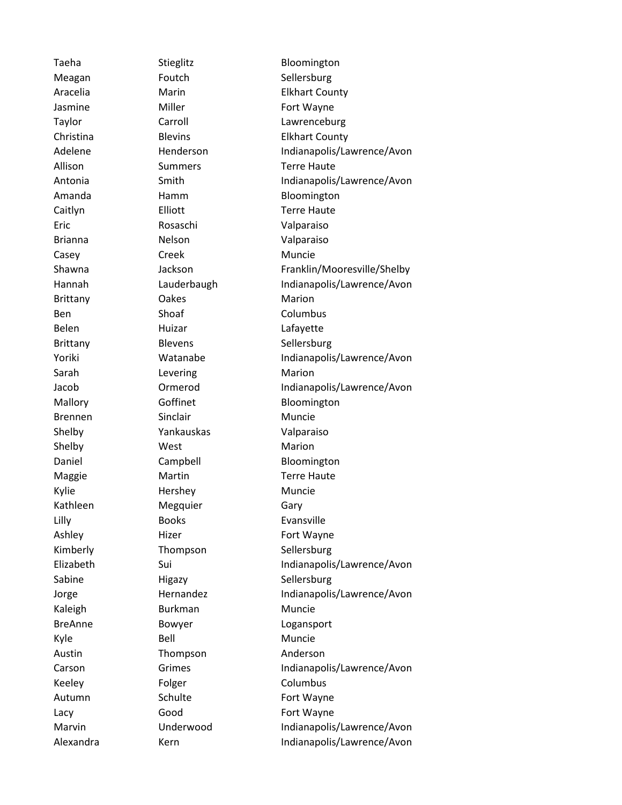Meagan Foutch Sellersburg Jasmine Miller Miller Fort Wayne Allison Summers Terre Haute Caitlyn Elliott **Elliott** Terre Haute Eric Rosaschi Valparaiso Brianna Nelson Valparaiso Casey Creek Muncie Brittany **Oakes** Marion Ben Shoaf Columbus Belen Huizar Huizar Lafayette Brittany Blevens Sellersburg Sarah **Levering Marion** Brennen Sinclair Muncie Shelby Yankauskas Valparaiso Shelby West Marion Maggie Martin Terre Haute Kylie Hershey Muncie Kathleen Megquier Gary Lilly Books Evansville Ashley Hizer Hizer Fort Wayne Kimberly Thompson Sellersburg Sabine Higazy Sellersburg Kaleigh **Burkman** Muncie BreAnne Bowyer Logansport Kyle Bell Bell Muncie Austin Thompson Anderson Keeley **Folger** Folger Columbus Autumn Schulte Fort Wayne Lacy Good Fort Wayne

Taeha Stieglitz Bloomington Aracelia **Marin** Marin Elkhart County Taylor Carroll Carroll Lawrenceburg Christina Blevins Elkhart County Adelene Henderson Indianapolis/Lawrence/Avon Antonia Smith Smith Indianapolis/Lawrence/Avon Amanda **Hamm** Bloomington Shawna Jackson Jackson Franklin/Mooresville/Shelby Hannah Lauderbaugh Indianapolis/Lawrence/Avon Yoriki Watanabe Indianapolis/Lawrence/Avon Jacob Ormerod Indianapolis/Lawrence/Avon Mallory Goffinet Bloomington Daniel Campbell Bloomington Elizabeth Sui Sui Indianapolis/Lawrence/Avon Jorge Hernandez Indianapolis/Lawrence/Avon Carson Grimes Indianapolis/Lawrence/Avon Marvin Underwood Indianapolis/Lawrence/Avon Alexandra Kern Kern Indianapolis/Lawrence/Avon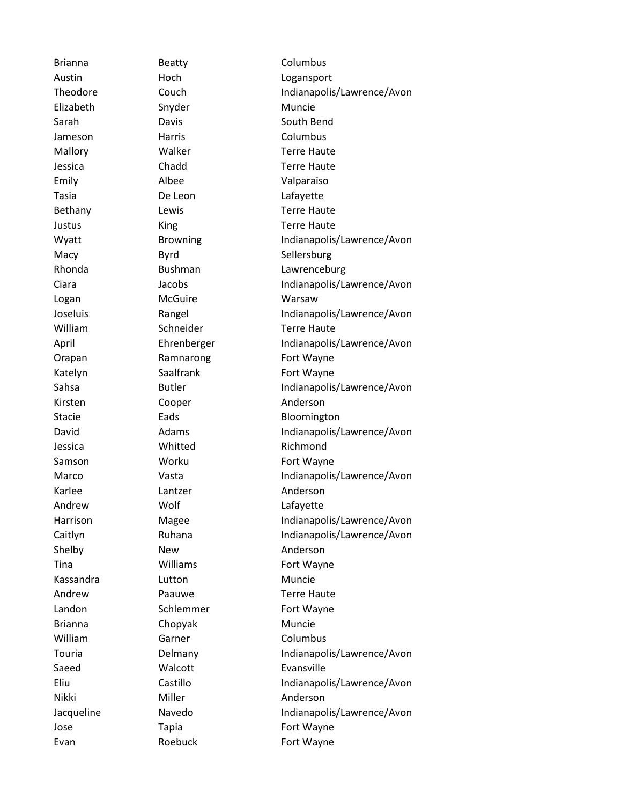Brianna **Beatty Beatty** Columbus Elizabeth Snyder Muncie Jameson Harris Columbus Emily Albee Valparaiso Tasia De Leon Lafayette Logan McGuire Warsaw Kirsten Cooper Anderson Jessica **Whitted** Richmond Karlee **Lantzer** Cantager Anderson Andrew Wolf Wolf Lafayette Shelby New New Anderson Kassandra Lutton Muncie Brianna Chopyak Muncie William Garner Columbus Saeed Walcott Evansville Nikki Miller Miller Anderson

Austin Hoch Hoch Logansport Theodore Couch Couch Indianapolis/Lawrence/Avon Sarah Davis Davis South Bend Mallory **Walker Terre Haute** Jessica Chadd Terre Haute Bethany Lewis Lewis Terre Haute **Justus Communist Communist Communist Communist Communist Communist Communist Communist Communist Communist Communist Communist Communist Communist Communist Communist Communist Communist Communist Communist Communist Comm** Wyatt Browning Indianapolis/Lawrence/Avon Macy Byrd Sellersburg Rhonda Bushman Lawrenceburg Ciara Jacobs Indianapolis/Lawrence/Avon Joseluis Rangel Indianapolis/Lawrence/Avon William Schneider Terre Haute April Ehrenberger Indianapolis/Lawrence/Avon Orapan Ramnarong Fort Wayne Katelyn Saalfrank Fort Wayne Sahsa Butler Butler Indianapolis/Lawrence/Avon Stacie **Eads** Eads Bloomington David **Adams** Adams Indianapolis/Lawrence/Avon Samson **Worku Worku** Fort Wayne Marco Vasta Vasta Indianapolis/Lawrence/Avon Harrison Magee Indianapolis/Lawrence/Avon Caitlyn Ruhana Indianapolis/Lawrence/Avon Tina **Williams Fort Wayne** Andrew Paauwe Terre Haute Landon Schlemmer Fort Wayne Touria **Indianapolis/Lawrence/Avon** Delmany **Indianapolis/Lawrence/Avon** Eliu Castillo Indianapolis/Lawrence/Avon Jacqueline Navedo Indianapolis/Lawrence/Avon Jose Tapia Fort Wayne Evan Roebuck Fort Wayne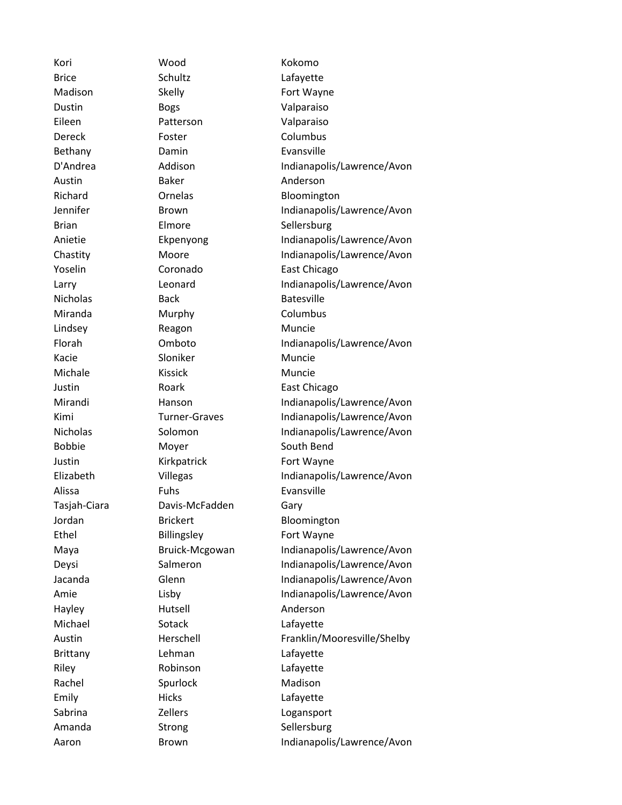Kori Wood Kokomo Brice Schultz Lafayette Madison Skelly Skelly Fort Wayne Dustin Bogs Valparaiso Eileen Patterson Valparaiso Dereck Foster Foster Columbus Bethany Damin Evansville Austin **Baker** Baker **Anderson** Richard **Ornelas Bloomington** Brian Elmore Sellersburg Yoselin Coronado East Chicago Nicholas Back Batesville Miranda Murphy Columbus Lindsey Reagon Muncie Kacie Sloniker Muncie Michale Kissick Muncie Justin **Roark East Chicago** Bobbie Moyer South Bend Justin Kirkpatrick Fort Wayne Alissa **Fuhs** Evansville Tasjah-Ciara Davis-McFadden Gary Jordan Brickert Bloomington Ethel Billingsley Fort Wayne Hayley Hutsell Anderson Michael Sotack Lafayette Brittany Lehman Lafayette Riley Robinson Lafayette Rachel Spurlock Madison Emily Hicks Hicks Lafayette Sabrina **Zellers** Zellers Logansport Amanda Strong Sellersburg

D'Andrea Addison Indianapolis/Lawrence/Avon Jennifer Brown Brown Indianapolis/Lawrence/Avon Anietie Ekpenyong Indianapolis/Lawrence/Avon Chastity Moore Indianapolis/Lawrence/Avon Larry Leonard Indianapolis/Lawrence/Avon Florah Omboto Indianapolis/Lawrence/Avon Mirandi Hanson Hanson Indianapolis/Lawrence/Avon Kimi Turner-Graves Indianapolis/Lawrence/Avon Nicholas Solomon Indianapolis/Lawrence/Avon Elizabeth Villegas Indianapolis/Lawrence/Avon Maya Bruick-Mcgowan Indianapolis/Lawrence/Avon Deysi Salmeron Indianapolis/Lawrence/Avon Jacanda **Glenn** Glenn Indianapolis/Lawrence/Avon Amie Lisby Lisby Indianapolis/Lawrence/Avon Austin Herschell Franklin/Mooresville/Shelby Aaron Brown Brown Indianapolis/Lawrence/Avon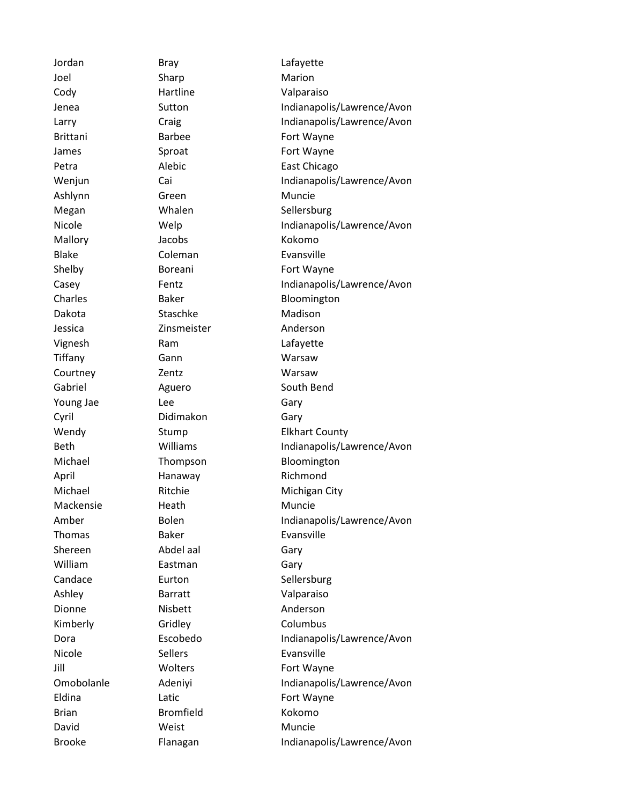Jordan Bray Lafayette Joel Sharp Sharp Marion Cody Hartline Valparaiso Brittani Barbee Fort Wayne James Sproat Sproat Fort Wayne Ashlynn Green Muncie Megan Whalen Sellersburg Mallory Jacobs Kokomo Blake Coleman Evansville Shelby **Boreani** Boreani Fort Wayne Dakota Staschke Madison Jessica Zinsmeister Anderson Vignesh Ram Lafayette Tiffany Gann Warsaw Courtney **Zentz** Zentz Warsaw Gabriel **Aguero** Aguero South Bend Young Jae Lee **Lee** Gary Cyril Didimakon Gary April Hanaway Richmond Mackensie Heath Muncie Thomas Baker Evansville Shereen Abdel aal Gary William **Eastman** Gary Candace **Eurton** Eurton Sellersburg Ashley Barratt Valparaiso Dionne Nisbett Anderson Kimberly Gridley Columbus Nicole Sellers Sellers Evansville Jill Wolters Fort Wayne Eldina Latic Latic **Fort Wayne** Brian Bromfield Kokomo David Weist Weist Muncie

Jenea Sutton Indianapolis/Lawrence/Avon Larry Craig Craig Craig Indianapolis/Lawrence/Avon Petra Alebic East Chicago Wenjun Cai Cai Indianapolis/Lawrence/Avon Nicole **Welp Indianapolis/Lawrence/Avon** Casey **Fentz** Fentz **Indianapolis/Lawrence/Avon** Charles Baker Baker Bloomington Wendy Stump Elkhart County Beth Williams Indianapolis/Lawrence/Avon Michael Thompson Bloomington Michael Ritchie Michigan City Amber Bolen Bolen Indianapolis/Lawrence/Avon Dora Escobedo Indianapolis/Lawrence/Avon Omobolanle Adeniyi Indianapolis/Lawrence/Avon Brooke Flanagan Indianapolis/Lawrence/Avon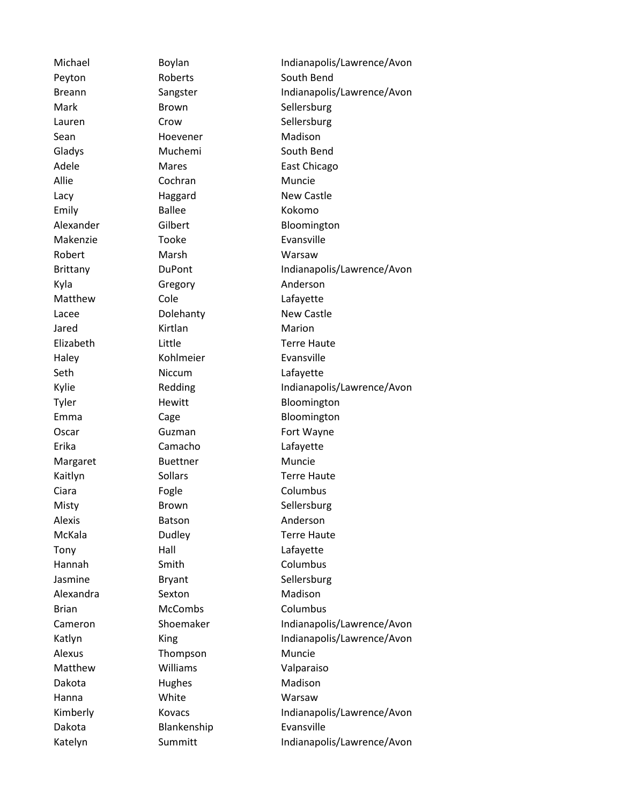Peyton Roberts South Bend Mark Brown Brown Sellersburg Lauren Crow Crow Sellersburg Sean Hoevener Madison Gladys Muchemi South Bend Allie Cochran Muncie Lacy **Haggard** New Castle Emily Ballee Kokomo Makenzie Tooke Evansville Robert Marsh Warsaw Kyla Gregory **Anderson** Matthew Cole Cole Lafayette Lacee Dolehanty New Castle Jared Kirtlan Marion Haley Kohlmeier Evansville Seth Niccum Lafayette Erika Camacho Lafayette Margaret Buettner Muncie Ciara **Fogle** Fogle Columbus Misty Brown Brown Sellersburg Alexis **Batson** Batson **Anderson** Tony Hall Hall Lafayette Hannah Smith Columbus Jasmine Bryant Sellersburg Alexandra Sexton Madison Brian McCombs Columbus Alexus Thompson Muncie Matthew Williams Valparaiso Dakota **Hughes** Hughes Madison Hanna White Warsaw Dakota Blankenship Evansville

Michael Boylan Boylan Indianapolis/Lawrence/Avon Breann Sangster Indianapolis/Lawrence/Avon Adele Mares Mares East Chicago Alexander Gilbert Gilbert Bloomington Brittany **DuPont** Dupont Indianapolis/Lawrence/Avon Elizabeth Little Terre Haute Kylie Redding Indianapolis/Lawrence/Avon Tyler **Hewitt** Hewitt Bloomington Emma Cage Bloomington Oscar **Guzman** Guzman Fort Wayne Kaitlyn Sollars Sollars Terre Haute McKala **Dudley Terre Haute** Cameron Shoemaker Indianapolis/Lawrence/Avon Katlyn King King Indianapolis/Lawrence/Avon Kimberly **Kovacs Kovacs** Indianapolis/Lawrence/Avon Katelyn Summitt Indianapolis/Lawrence/Avon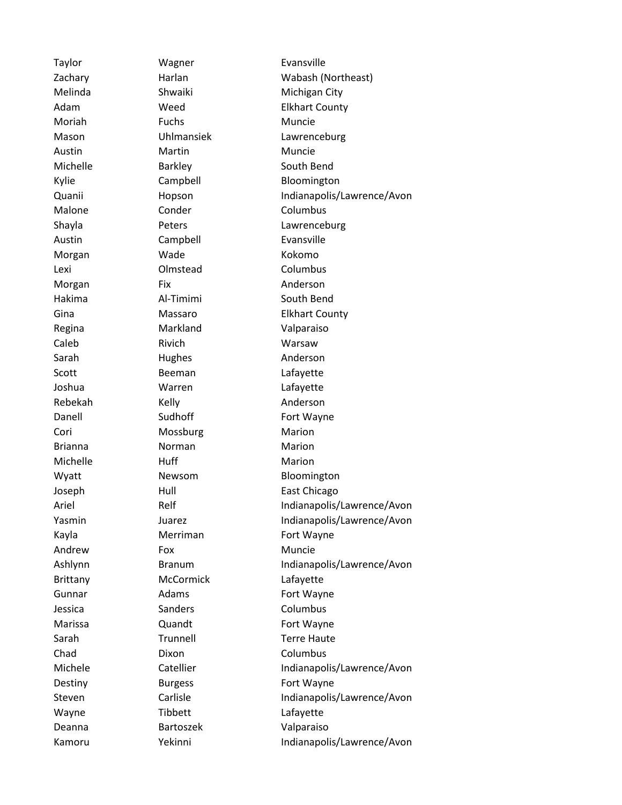Moriah Fuchs Muncie Austin Martin Muncie Michelle **Barkley** Barkley South Bend Malone Conder Columbus Austin Campbell Evansville Morgan Wade Kokomo Lexi Olmstead Columbus Morgan Fix Fix Anderson Hakima Al-Timimi South Bend Regina Markland Valparaiso Caleb Rivich Warsaw Sarah Hughes Anderson Scott Beeman Lafayette Joshua Warren Lafayette Rebekah Kelly **Kelly** Anderson Cori Mossburg Marion Brianna **Norman** Norman Marion Michelle **Huff** Huff Marion Andrew Fox Fox Muncie Brittany McCormick Lafayette Jessica Sanders Columbus Chad Dixon Columbus Wayne Tibbett Cafayette Deanna Bartoszek Valparaiso

Taylor **Wagner** Wagner Evansville Zachary **Harlan** Harlan Wabash (Northeast) Melinda Shwaiki Michigan City Adam Weed Elkhart County Mason Uhlmansiek Lawrenceburg Kylie Campbell Bloomington Quanii Hopson Indianapolis/Lawrence/Avon Shayla **Peters** Peters **Lawrenceburg** Gina **Massaro** Massaro Elkhart County Danell Sudhoff Fort Wayne Wyatt Newsom Bloomington Joseph Hull Hull East Chicago Ariel Relf Relf Indianapolis/Lawrence/Avon Yasmin Juarez Juarez Indianapolis/Lawrence/Avon Kayla Merriman Fort Wayne Ashlynn Branum Branum Indianapolis/Lawrence/Avon Gunnar **Adams** Adams Fort Wayne Marissa **Quandt Construction Construction Fort Wayne** Sarah Trunnell Terre Haute Michele Catellier Catellier Indianapolis/Lawrence/Avon Destiny **Burgess Burgess** Fort Wayne Steven Carlisle Carlisle Indianapolis/Lawrence/Avon Kamoru Yekinni Indianapolis/Lawrence/Avon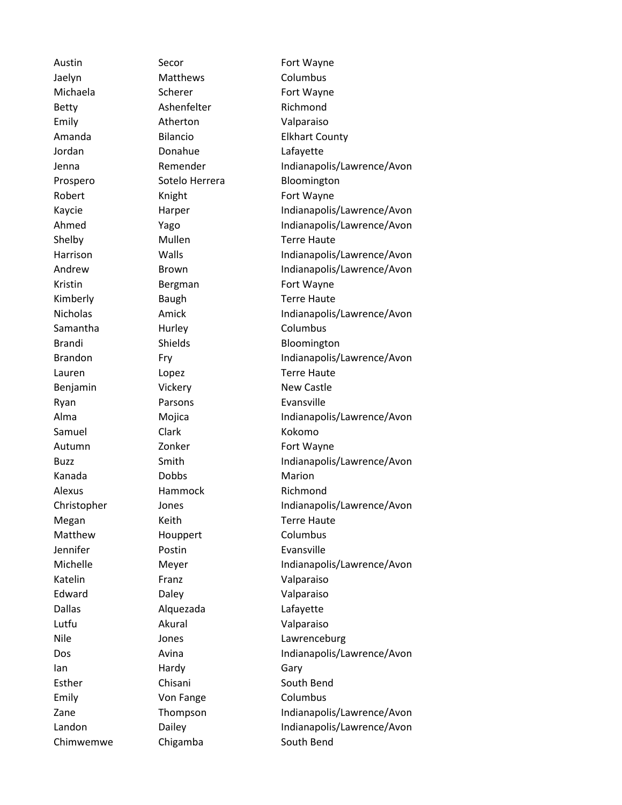Jaelyn Matthews Columbus Jordan Donahue Lafayette Alexus Hammock Richmond Jennifer Postin Evansville Lutfu Akural Valparaiso Esther Chisani Chisani South Bend

Austin Secor Secor Fort Wayne Betty **Ashenfelter** Richmond Emily **Atherton** Valparaiso Samantha **Hurley** Columbus Benjamin Vickery New Castle Ryan **Parsons** Parsons **Evansville** Samuel Clark Clark Kokomo Kanada **Dobbs** Dobbs Marion Matthew **Houppert** Columbus Katelin Franz **Franz** Valparaiso Edward Daley Valparaiso Dallas Alquezada Lafayette Ian Hardy Gary Emily **Columbus** Von Fange **Columbus** Chimwemwe Chigamba South Bend

Michaela **Scherer** Scherer Fort Wayne Amanda Bilancio Elkhart County Jenna Remender Indianapolis/Lawrence/Avon Prospero Sotelo Herrera Bloomington Robert Knight Fort Wayne Kaycie Harper Indianapolis/Lawrence/Avon Ahmed Yago Indianapolis/Lawrence/Avon Shelby Mullen Terre Haute Harrison Walls Indianapolis/Lawrence/Avon Andrew Brown Brown Indianapolis/Lawrence/Avon Kristin **Bergman** Bergman Fort Wayne Kimberly **Baugh** Baugh **Terre Haute** Nicholas **Amick** Amick Indianapolis/Lawrence/Avon Brandi Shields Bloomington Brandon Fry Fry Indianapolis/Lawrence/Avon Lauren Lopez Lopez Terre Haute Alma Mojica Indianapolis/Lawrence/Avon Autumn **Zonker Fort Wayne** Buzz Smith Smith Indianapolis/Lawrence/Avon Christopher Jones Indianapolis/Lawrence/Avon Megan Keith Terre Haute Michelle Meyer Indianapolis/Lawrence/Avon Nile Jones Lawrenceburg Dos Avina Avina Indianapolis/Lawrence/Avon Zane Thompson Indianapolis/Lawrence/Avon Landon **Dailey** Dailey **Indianapolis/Lawrence/Avon**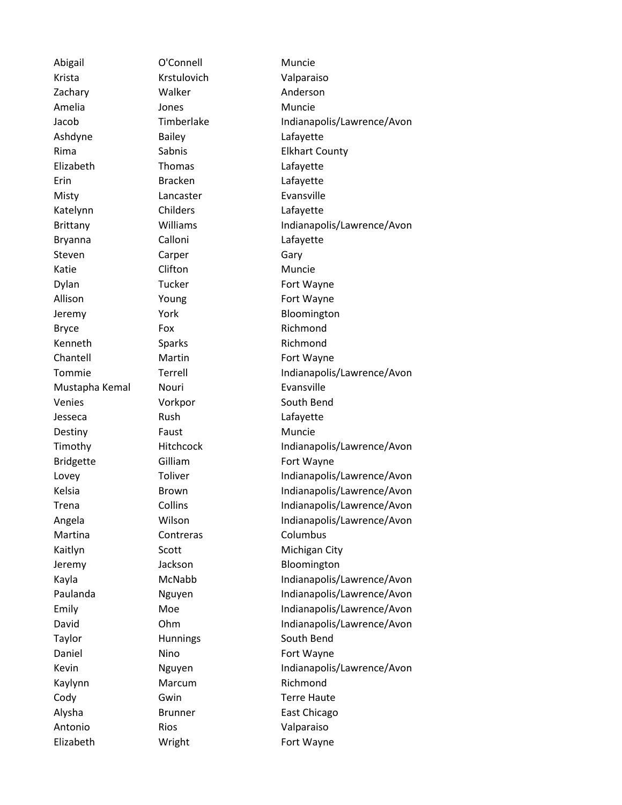Krista Krstulovich Valparaiso Zachary **Walker** Muslem Muslem Muslem Muslem Muslem Muslem Muslem Anderson Amelia **Amelia** Jones **Muncie** Ashdyne Bailey Bashdyne Bailey Elizabeth Thomas Lafayette Erin Bracken Lafayette Misty **Lancaster** Evansville Katelynn Childers Lafayette Bryanna Calloni Lafayette Steven Carper Carper Gary Katie Clifton Clifton Muncie Dylan Tucker Fort Wayne Allison Young Fort Wayne Bryce **Fox** Fox Richmond Kenneth Sparks Sparks Richmond Chantell **Martin** Martin **Fort Wayne** Mustapha Kemal Nouri **Nouri** Evansville Venies Vorkpor South Bend Jesseca Rush Lafayette Destiny Faust Faust Muncie Bridgette Gilliam Gilliam Fort Wayne Martina **Contreras** Columbus Taylor **Hunnings** South Bend Daniel Mino Nino Fort Wayne Kaylynn Marcum Richmond Cody **Gwin** Gwin Terre Haute Antonio Rios Valparaiso

Abigail **O'Connell** Muncie

Jacob Timberlake Indianapolis/Lawrence/Avon Rima Sabnis Sabnis Elkhart County Brittany **Williams Indianapolis/Lawrence/Avon** Jeremy York Bloomington Tommie Terrell Indianapolis/Lawrence/Avon Timothy Hitchcock Indianapolis/Lawrence/Avon Lovey Toliver Toliver Indianapolis/Lawrence/Avon Kelsia Brown Brown Indianapolis/Lawrence/Avon Trena Collins Indianapolis/Lawrence/Avon Angela Wilson **Indianapolis/Lawrence/Avon** Kaitlyn Scott Michigan City Jeremy Jackson Bloomington Kayla McNabb Indianapolis/Lawrence/Avon Paulanda **Nguyen** Indianapolis/Lawrence/Avon Emily Moe Moe Indianapolis/Lawrence/Avon David Ohm Indianapolis/Lawrence/Avon Kevin **Nguyen** Indianapolis/Lawrence/Avon Alysha Brunner East Chicago Elizabeth Wright Fort Wayne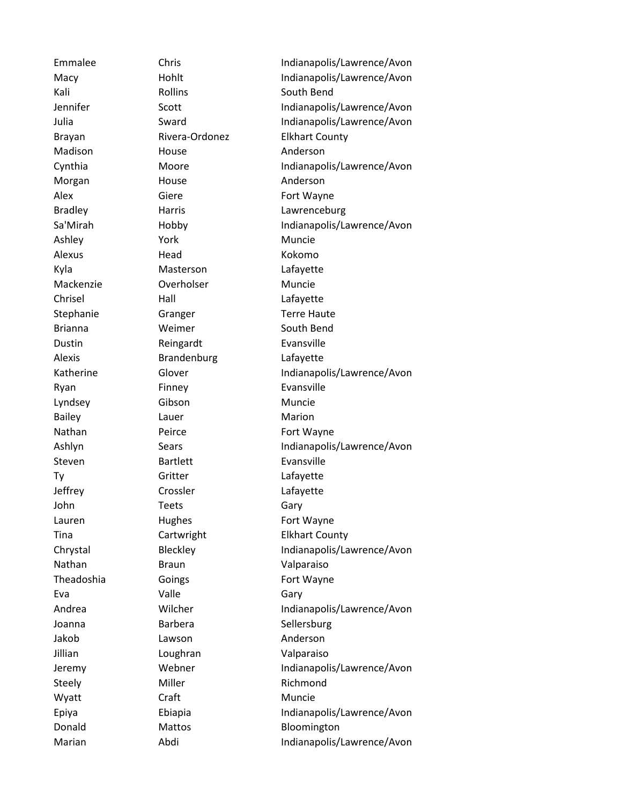Kali Rollins South Bend Madison **House** House **Anderson** Morgan Morgan House **Anderson** Alex Giere Giere Fort Wayne Ashley **York** Muncie Alexus Head Kokomo Kyla Masterson Lafayette Mackenzie Overholser Muncie Chrisel Hall Hall Lafayette Stephanie Granger Terre Haute Brianna **Weimer** South Bend Dustin Reingardt Evansville Alexis Brandenburg Lafayette Ryan Finney Evansville Lyndsey Gibson Muncie Bailey **Lauer** Lauer **Marion** Nathan Peirce Fort Wayne Steven Bartlett Evansville Ty Gritter Lafayette Jeffrey Crossler Lafayette John Teets Gary Lauren Hughes Fort Wayne Nathan **Braun** Braun Valparaiso Theadoshia Goings **Goods** Fort Wayne Eva Cary Valle Controlled Gary Joanna **Barbera** Sellersburg Jakob Lawson Anderson Jillian Loughran Valparaiso Steely Miller Miller Richmond Wyatt Craft Crame Craft Muncie

Emmalee Chris Chris Indianapolis/Lawrence/Avon Macy Hohlt Hohlt Indianapolis/Lawrence/Avon Jennifer Scott Indianapolis/Lawrence/Avon Julia Sward Sward Indianapolis/Lawrence/Avon Brayan Rivera-Ordonez Elkhart County Cynthia Moore Indianapolis/Lawrence/Avon Bradley **Harris** Harris **Lawrenceburg** Sa'Mirah Hobby Indianapolis/Lawrence/Avon Katherine Glover Glover Indianapolis/Lawrence/Avon Ashlyn Sears Sears Indianapolis/Lawrence/Avon Tina Cartwright Elkhart County Chrystal Bleckley Indianapolis/Lawrence/Avon Andrea **Wilcher Indianapolis/Lawrence/Avon** Jeremy Webner Indianapolis/Lawrence/Avon Epiya Ebiapia Indianapolis/Lawrence/Avon Donald Mattos Mattos Bloomington Marian Abdi Abdi Indianapolis/Lawrence/Avon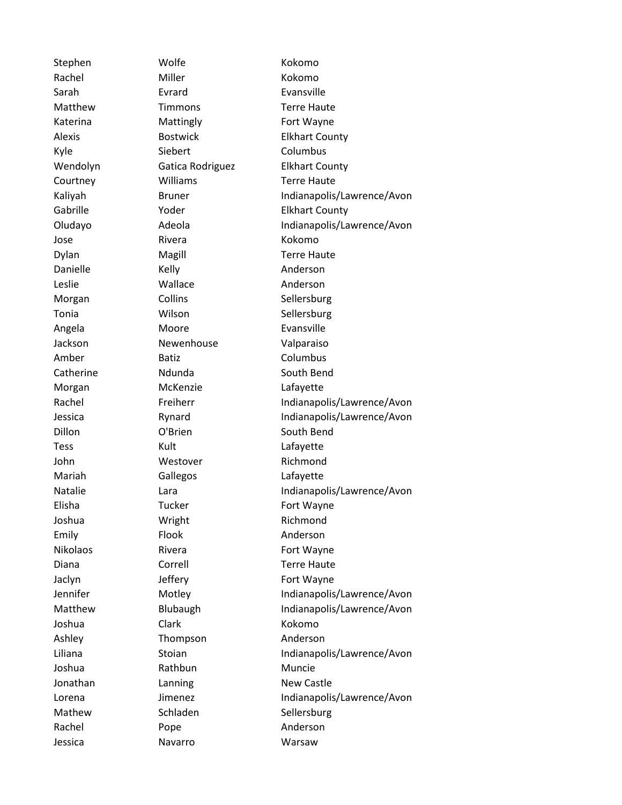Stephen Wolfe Kokomo Rachel Miller Miller Kokomo Sarah Evrard Evansville Katerina **Mattingly** Fort Wayne Kyle Siebert Columbus Jose Rivera Rivera Kokomo Danielle Kelly Kelly Anderson Leslie **Wallace** Muslem Muslem Muslem Muslem Muslem Muslem Anderson Morgan Collins Collins Sellersburg Tonia **Wilson** Wilson Sellersburg Angela Moore Evansville Jackson Newenhouse Valparaiso Amber Batiz Columbus Catherine **Ndunda** South Bend Morgan McKenzie Lafayette Dillon **O'Brien** South Bend Tess Kult Kult Lafayette John Westover Richmond Mariah Gallegos Lafayette Elisha Tucker Fort Wayne Joshua **Wright** Wright Richmond Emily Flook Anderson Nikolaos Rivera **Rivera Rivera Rivera Properties** Rivera Jaclyn Jeffery Fort Wayne Joshua Clark Kokomo Ashley Thompson Anderson Joshua Rathbun Muncie Jonathan Lanning New Castle Mathew Schladen Schlersburg Rachel Pope Pope Anderson Jessica Navarro Warsaw

Matthew Timmons Terre Haute Alexis Bostwick Elkhart County Wendolyn Gatica Rodriguez Elkhart County Courtney **Williams** Terre Haute Kaliyah Bruner Indianapolis/Lawrence/Avon Gabrille **The Yoder County COUNTER Elkhart County** Oludayo Adeola Indianapolis/Lawrence/Avon Dylan Magill Terre Haute Rachel Freiherr Indianapolis/Lawrence/Avon Jessica Rynard Indianapolis/Lawrence/Avon Natalie **Indianapolis/Lawrence/Avon** Diana Correll Correll Terre Haute Jennifer Motley Indianapolis/Lawrence/Avon Matthew Blubaugh Indianapolis/Lawrence/Avon Liliana Stoian Stoian Indianapolis/Lawrence/Avon Lorena **Imenez** Jimenez Indianapolis/Lawrence/Avon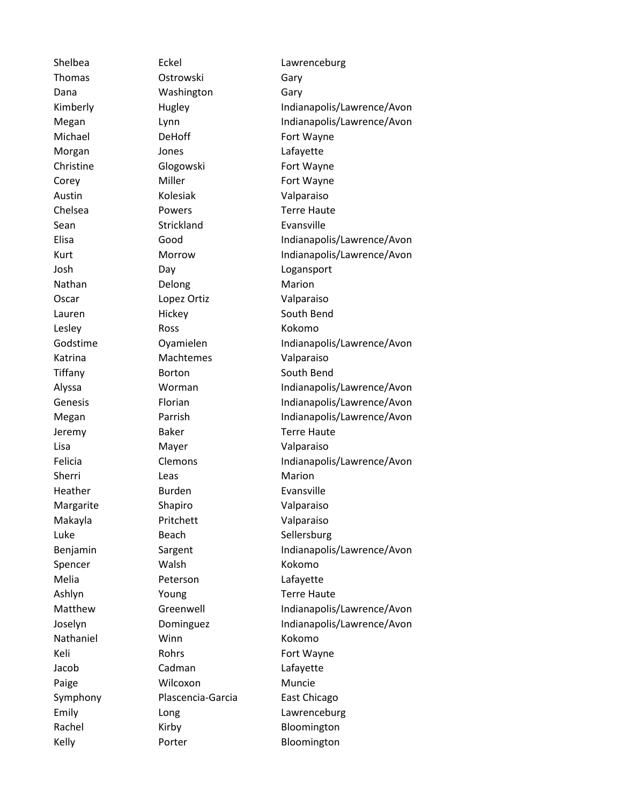Thomas Ostrowski Gary Dana Washington Gary Michael DeHoff Fort Wayne Morgan Jones Lafayette Christine Glogowski Fort Wayne Corey Miller Miller Fort Wayne Austin Kolesiak Valparaiso Chelsea Powers Terre Haute Sean Strickland Evansville Josh Day Logansport Nathan Delong Marion Oscar Lopez Ortiz Valparaiso Lauren Hickey South Bend Lesley Ross Ross Kokomo Katrina Machtemes Valparaiso Tiffany **Borton** Borton South Bend Jeremy Baker Baker Terre Haute Lisa Mayer Valparaiso Sherri Leas Leas Marion Heather **Burden** Burden Evansville Margarite Shapiro Valparaiso Makayla Pritchett Valparaiso Luke Beach Sellersburg Spencer Walsh Kokomo Melia Peterson Lafayette Ashlyn Young Terre Haute Nathaniel Winn Winn Kokomo Keli Rohrs Fort Wayne Jacob Cadman Lafayette Paige **Wilcoxon** Muncie Symphony Plascencia-Garcia East Chicago Rachel Kirby Kirby Bloomington Kelly **Porter** Porter Bloomington

Shelbea **Eckel** Eckel Lawrenceburg Kimberly Hugley Indianapolis/Lawrence/Avon Megan Lynn Lynn Indianapolis/Lawrence/Avon Elisa Good Good Indianapolis/Lawrence/Avon Kurt Morrow Indianapolis/Lawrence/Avon Godstime **Oyamielen** Indianapolis/Lawrence/Avon Alyssa Worman Indianapolis/Lawrence/Avon Genesis Florian Indianapolis/Lawrence/Avon Megan Parrish Indianapolis/Lawrence/Avon Felicia Clemons Indianapolis/Lawrence/Avon Benjamin Sargent Indianapolis/Lawrence/Avon Matthew Greenwell Indianapolis/Lawrence/Avon Joselyn Dominguez Indianapolis/Lawrence/Avon Emily Long Long Lawrenceburg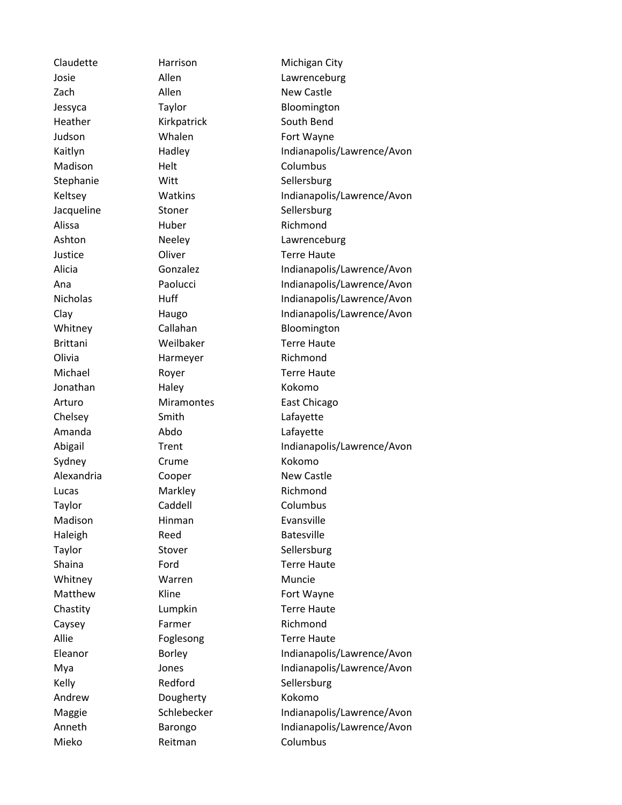Zach Allen Allen New Castle Heather **Kirkpatrick** South Bend Judson Whalen Fort Wayne Madison Helt Columbus Stephanie Witt Sellersburg Jacqueline Stoner Stoner Sellersburg Alissa **Huber** Huber Richmond Justice Oliver Terre Haute Brittani Weilbaker Terre Haute Olivia Harmeyer Richmond Jonathan Haley **Kokomo** Chelsey Smith Lafayette Amanda Abdo Lafayette Sydney Crume **Crume** Kokomo Alexandria Cooper New Castle Lucas Markley Richmond Taylor Caddell Canada Columbus Madison Hinman Evansville Haleigh Reed Batesville Taylor Stover Stover Sellersburg Whitney **Warren** Muncie Matthew Kline **King Kline** Fort Wayne Caysey **Farmer** Richmond Kelly Redford Sellersburg Andrew Dougherty Kokomo Mieko Reitman Columbus

Claudette Harrison Michigan City Josie Allen Lawrenceburg Jessyca Taylor Bloomington Kaitlyn Hadley Hadley Indianapolis/Lawrence/Avon Keltsey **Watkins** Watkins Indianapolis/Lawrence/Avon Ashton **Neeley Lawrenceburg** Alicia Gonzalez Indianapolis/Lawrence/Avon Ana Paolucci Indianapolis/Lawrence/Avon Nicholas Huff Huff Indianapolis/Lawrence/Avon Clay Haugo Haugo Indianapolis/Lawrence/Avon Whitney Callahan Bloomington Michael **Royer** Royer **Terre Haute** Arturo Miramontes East Chicago Abigail Trent Trent Indianapolis/Lawrence/Avon Shaina **Ford** Ford Terre Haute Chastity **Lumpkin** Chastity **Lumpkin** Terre Haute Allie Foglesong Terre Haute Eleanor Borley **Indianapolis/Lawrence/Avon** Mya Jones Indianapolis/Lawrence/Avon Maggie Schlebecker Indianapolis/Lawrence/Avon Anneth Barongo Indianapolis/Lawrence/Avon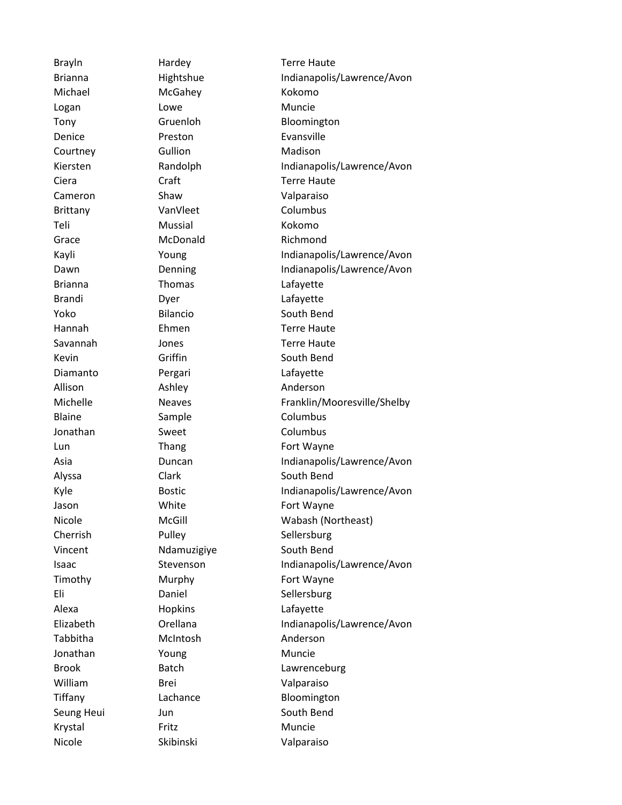Michael McGahey Kokomo Logan Lowe Lowe Muncie Denice Preston **Preston** Evansville Courtney Gullion Madison Cameron Shaw Shaw Valparaiso Brittany **VanVleet** Columbus Teli Mussial Kokomo Grace McDonald Richmond Brianna Thomas Lafayette Brandi Dyer Lafayette Diamanto Pergari Pergari Lafayette Allison Ashley Anderson Blaine Sample Columbus Jonathan Sweet Columbus Alexa Hopkins Hopkins Lafayette Tabbitha McIntosh Anderson Jonathan Young Muncie William Brei Valparaiso Krystal Fritz Muncie Nicole Skibinski Valparaiso

Brayln Hardey Hardey Terre Haute Brianna **Hightshue** Hightshue Indianapolis/Lawrence/Avon Tony Gruenloh Bloomington Kiersten **Randolph Indianapolis/Lawrence/Avon** Ciera Craft Craft Terre Haute Kayli Young Indianapolis/Lawrence/Avon Dawn Denning Indianapolis/Lawrence/Avon Yoko Bilancio South Bend Hannah Ehmen Terre Haute Savannah Jones Terre Haute Kevin Griffin South Bend Michelle Meaves Neaves Franklin/Mooresville/Shelby Lun Thang Fort Wayne Asia Duncan Indianapolis/Lawrence/Avon Alyssa Clark Clark South Bend Kyle Bostic Bostic Indianapolis/Lawrence/Avon Jason White Fort Wayne Nicole McGill Wabash (Northeast) Cherrish Pulley Sellersburg Vincent Mdamuzigive South Bend Isaac Stevenson Indianapolis/Lawrence/Avon Timothy Murphy **Murphy** Fort Wayne Eli Daniel Sellersburg Elizabeth Orellana Indianapolis/Lawrence/Avon Brook Batch Lawrenceburg Tiffany Lachance Bloomington Seung Heui Jun Jun South Bend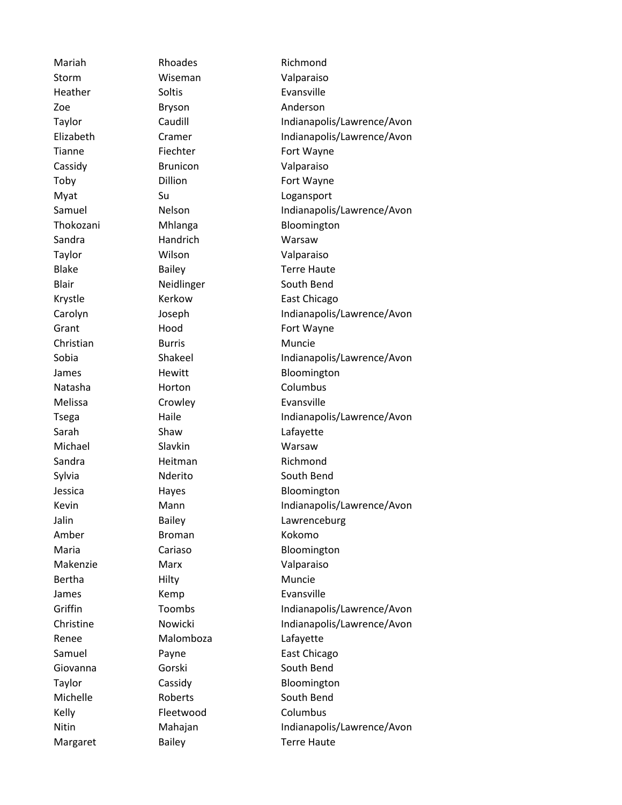Storm Wiseman Valparaiso Heather Soltis Soltis Evansville Zoe Bryson Anderson Cassidy Brunicon Valparaiso Sandra Handrich Warsaw Taylor Wilson Valparaiso Christian Burris Muncie Natasha Horton Columbus Melissa Crowley Crowley Evansville Sarah Shaw Shaw Lafayette Michael Slavkin Warsaw Sandra **Heitman** Richmond Amber Broman Kokomo Makenzie Marx Valparaiso Bertha **Hilty** Hilty Muncie James Kemp Evansville Renee Malomboza Lafayette Kelly Fleetwood Columbus

Mariah Rhoades Richmond Taylor Caudill Caudill Indianapolis/Lawrence/Avon Elizabeth Cramer Indianapolis/Lawrence/Avon Tianne Fiechter Fort Wayne Toby Dillion **Dillion** Fort Wayne Myat Su Su Logansport Samuel Nelson **Indianapolis/Lawrence/Avon** Thokozani Mhlanga Bloomington Blake Bailey Bailey Terre Haute Blair Neidlinger South Bend Krystle Kerkow East Chicago Carolyn Joseph Indianapolis/Lawrence/Avon Grant **Hood** Fort Wayne Sobia Shakeel Indianapolis/Lawrence/Avon James Hewitt Bloomington Tsega **Haile** Haile Indianapolis/Lawrence/Avon Sylvia Nderito South Bend Jessica **Hayes** Hayes Bloomington Kevin Mann Mann Indianapolis/Lawrence/Avon Jalin Bailey **Communist Calicate** Lawrenceburg Maria Cariaso Cariaso Bloomington Griffin Toombs Indianapolis/Lawrence/Avon Christine Mowicki Indianapolis/Lawrence/Avon Samuel Payne Payne East Chicago Giovanna **Gorski** South Bend Taylor Cassidy Cassidy Bloomington Michelle **Roberts** South Bend Nitin Mahajan Indianapolis/Lawrence/Avon Margaret Bailey Base Bailey Terre Haute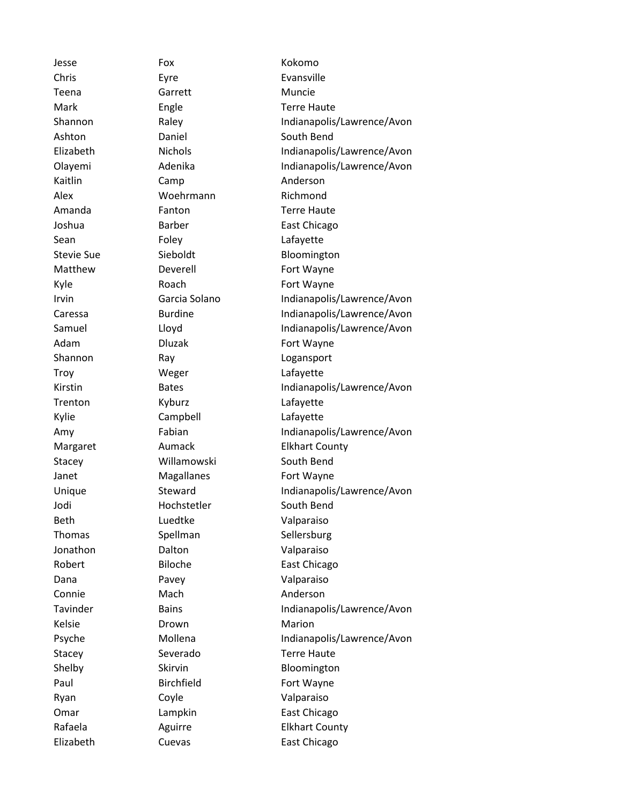Jesse Fox Kokomo Chris Eyre Evansville Teena Garrett Muncie Mark **Engle** Engle Terre Haute Ashton Daniel South Bend Kaitlin Camp Camp Anderson Alex Woehrmann Richmond Amanda Fanton Fanton Terre Haute Joshua **Barber** Barber East Chicago Sean Foley Foley Lafayette Matthew Deverell **Deverell** Fort Wayne Kyle Roach Fort Wayne Adam Dluzak Fort Wayne Shannon Ray Ray Logansport Troy Weger Lafayette Trenton Kyburz **Lafayette** Kylie Campbell Lafayette Stacey **Willamowski** South Bend Janet Magallanes Fort Wayne Jodi Hochstetler South Bend Beth Luedtke Valparaiso Thomas Spellman Sellersburg Jonathon Dalton Valparaiso Robert Biloche East Chicago Dana Pavey Valparaiso Connie Mach Mach Anderson Kelsie **Drown** Drown Marion Stacey Severado Terre Haute Shelby Skirvin Bloomington Paul Birchfield Fort Wayne Ryan Coyle Coverside Valparaiso Omar Lampkin East Chicago Elizabeth Cuevas East Chicago

Shannon **Raley** Raley **Indianapolis/Lawrence/Avon** Elizabeth Nichols Indianapolis/Lawrence/Avon Olayemi Adenika Indianapolis/Lawrence/Avon Stevie Sue Sieboldt Bloomington Irvin Garcia Solano Indianapolis/Lawrence/Avon Caressa Burdine Indianapolis/Lawrence/Avon Samuel Lloyd Lloyd Indianapolis/Lawrence/Avon Kirstin Bates Bates Indianapolis/Lawrence/Avon Amy Fabian Fabian Indianapolis/Lawrence/Avon Margaret **Aumack** Elkhart County Unique Steward Indianapolis/Lawrence/Avon Tavinder Bains Bains Indianapolis/Lawrence/Avon Psyche Mollena Indianapolis/Lawrence/Avon Rafaela **Aguirre** Elkhart County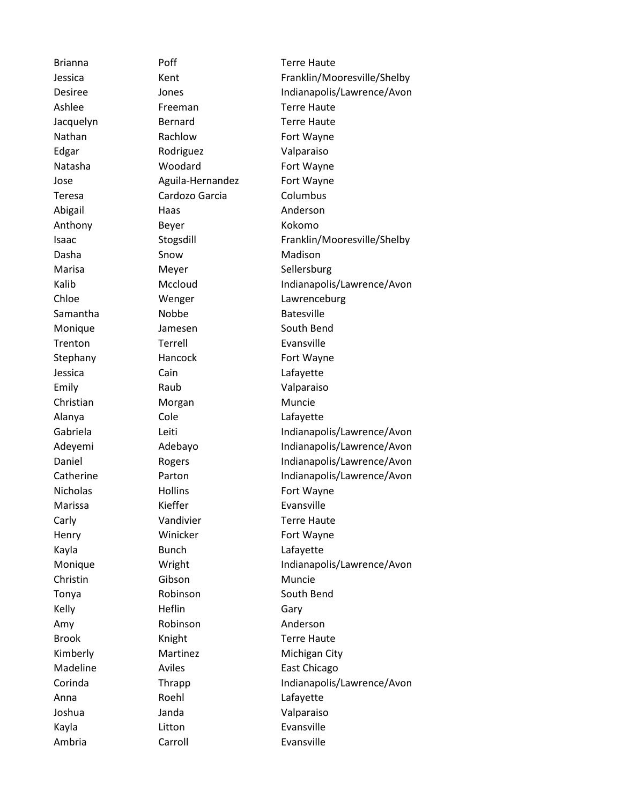Edgar Rodriguez Valparaiso Teresa Cardozo Garcia Columbus Abigail **Haas** Haas Anderson Anthony Beyer Kokomo Dasha Snow Show Madison Samantha Mobbe Batesville Trenton Terrell Evansville Jessica Cain Lafayette Emily Raub Valparaiso Christian Morgan Muncie Alanya Cole Lafayette Marissa Kieffer Evansville Kayla Bunch Lafayette Christin Gibson Muncie Kelly **Heflin** Heflin Gary Amy Robinson Anderson Anna Roehl Lafayette Joshua Janda Valparaiso Kayla **Litton** Litton Evansville

Brianna Poff Terre Haute Jessica Kent Kent Franklin/Mooresville/Shelby Desiree Jones Jones Indianapolis/Lawrence/Avon Ashlee **Freeman** Freeman Terre Haute Jacquelyn **Bernard** Terre Haute Nathan Rachlow Fort Wayne Natasha **Woodard** Fort Wayne Jose **Aguila-Hernandez** Fort Wayne Isaac Stogsdill Franklin/Mooresville/Shelby Marisa Meyer Sellersburg Kalib Mccloud Indianapolis/Lawrence/Avon Chloe Wenger Lawrenceburg Monique Jamesen South Bend Stephany Hancock Fort Wayne Gabriela Leiti Leiti Indianapolis/Lawrence/Avon Adeyemi Adebayo Indianapolis/Lawrence/Avon Daniel Rogers Indianapolis/Lawrence/Avon Catherine **Parton** Parton **Indianapolis/Lawrence/Avon** Nicholas Hollins Hollins Fort Wayne Carly **Vandivier** Vandivier Terre Haute Henry **Winicker** Fort Wayne Monique **Monique** Wright **Indianapolis/Lawrence/Avon** Tonya Robinson South Bend Brook Knight Knight Terre Haute Kimberly **Martinez** Martinez Michigan City Madeline Aviles Aviles East Chicago Corinda Thrapp Indianapolis/Lawrence/Avon Ambria Carroll Evansville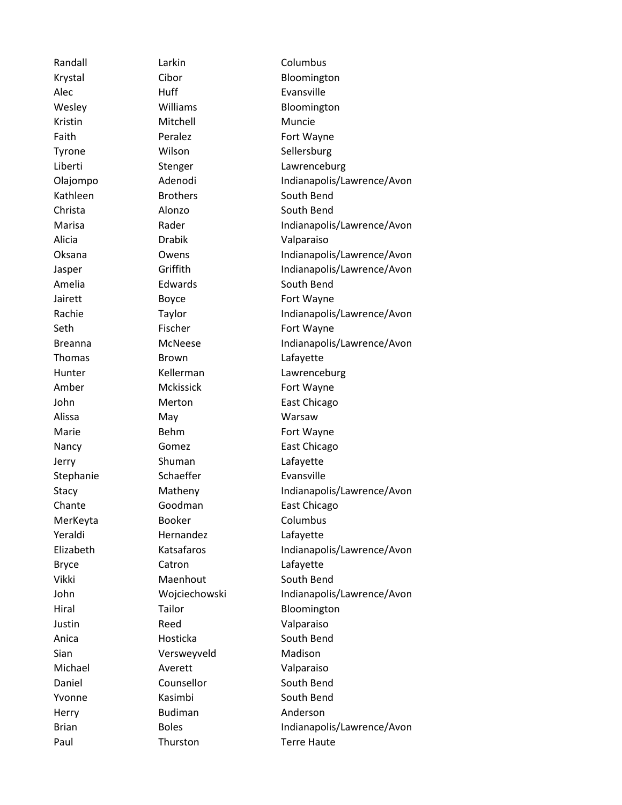Alec Huff Huff Evansville Kristin Mitchell Muncie Faith **Peralez Fort Wayne** Tyrone Wilson Sellersburg Kathleen Brothers South Bend Christa Alonzo South Bend Alicia Drabik Valparaiso Amelia **Edwards** Edwards South Bend Jairett Boyce Fort Wayne Seth Fischer Fischer Fort Wayne Thomas Brown Brown Lafayette Amber Mckissick Fort Wayne John Merton East Chicago Alissa May May Warsaw Marie **Behm** Behm Fort Wayne Nancy **Gomez East Chicago** Jerry Shuman Lafayette Stephanie Schaeffer Evansville Chante **Goodman** East Chicago MerKeyta **Booker** Booker Columbus Yeraldi Hernandez Lafayette Bryce Catron Catron Lafayette Vikki Maenhout South Bend Justin Reed Valparaiso Anica **Hosticka** South Bend Sian **Versweyveld** Madison Michael Averett Valparaiso Daniel Counsellor South Bend Yvonne Kasimbi South Bend Herry **Budiman Anderson** Paul Thurston Terre Haute

Randall **Larkin** Columbus Krystal Cibor Cibor Bloomington Wesley **Williams** Williams Bloomington Liberti Stenger Lawrenceburg Olajompo Adenodi Indianapolis/Lawrence/Avon Marisa Rader Rader Indianapolis/Lawrence/Avon Oksana Owens Indianapolis/Lawrence/Avon Jasper Griffith Griffith Indianapolis/Lawrence/Avon Rachie Taylor Taylor Indianapolis/Lawrence/Avon Breanna McNeese Indianapolis/Lawrence/Avon Hunter **Kellerman** Lawrenceburg Stacy Matheny Indianapolis/Lawrence/Avon Elizabeth Katsafaros Indianapolis/Lawrence/Avon John Wojciechowski Indianapolis/Lawrence/Avon Hiral Tailor Tailor Bloomington Brian Boles Boles Indianapolis/Lawrence/Avon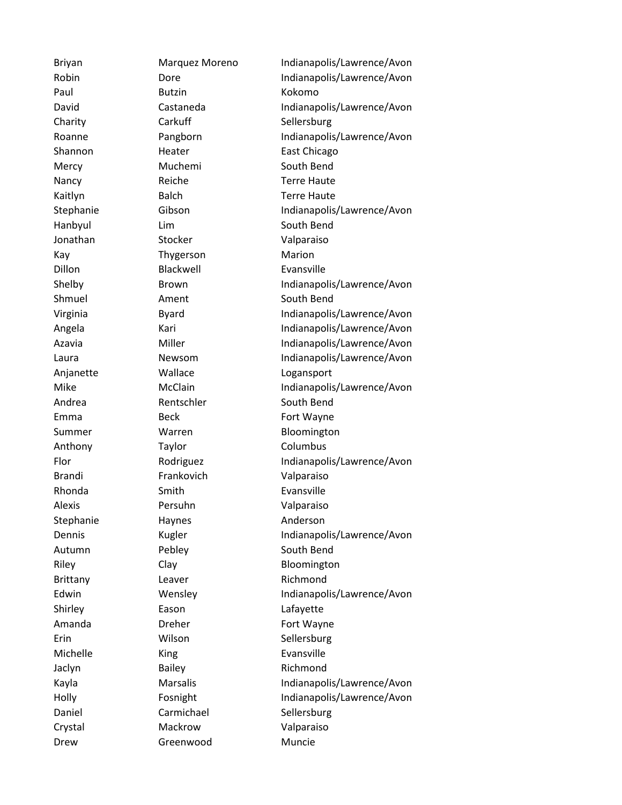Paul Butzin Kokomo Charity Carkuff Sellersburg Jonathan Stocker Valparaiso Kay **Thygerson** Marion Dillon Blackwell Evansville Anjanette Wallace Logansport Anthony Taylor Columbus Brandi Frankovich Valparaiso Rhonda Smith Evansville Alexis Persuhn Valparaiso Stephanie Haynes Anderson Brittany Leaver **Richmond** Shirley **Eason** Eason Lafayette Erin Wilson Sellersburg Michelle **King** King Evansville Jaclyn Bailey **Bailey** Richmond Daniel Carmichael Sellersburg Crystal Mackrow Valparaiso Drew Greenwood Muncie

Briyan Marquez Moreno Indianapolis/Lawrence/Avon Robin Dore Dore Indianapolis/Lawrence/Avon David Castaneda Indianapolis/Lawrence/Avon Roanne Pangborn Pangborn Pangborn Pangborn Pangborn Pangkalang Pangkalang Pangkalang Pangkalang Pangkalang Pang Shannon Heater East Chicago Mercy Muchemi South Bend Nancy Reiche Terre Haute Kaitlyn Balch Terre Haute Stephanie Gibson Gibson Indianapolis/Lawrence/Avon Hanbyul Lim South Bend Shelby Brown Brown Indianapolis/Lawrence/Avon Shmuel **Ament** Ament South Bend Virginia Byard Indianapolis/Lawrence/Avon Angela Kari Kari Indianapolis/Lawrence/Avon Azavia Miller Indianapolis/Lawrence/Avon Laura **Newsom** Indianapolis/Lawrence/Avon Mike McClain Indianapolis/Lawrence/Avon Andrea **Rentschler** South Bend Emma Beck Fort Wayne Summer Warren Bloomington Flor Rodriguez Indianapolis/Lawrence/Avon Dennis **Kugler** Kugler Indianapolis/Lawrence/Avon Autumn Pebley South Bend Riley Clay Clay Bloomington Edwin Wensley Indianapolis/Lawrence/Avon Amanda **Dreher Dreher Fort Wayne** Kayla Marsalis Indianapolis/Lawrence/Avon Holly Fosnight Indianapolis/Lawrence/Avon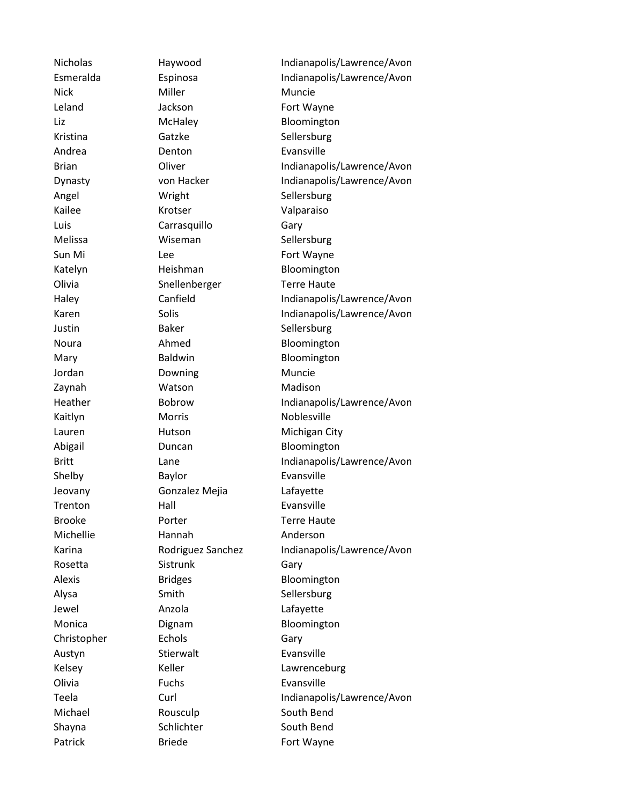Nick Miller Miller Muncie Leland Jackson Fort Wayne Liz McHaley Bloomington Kristina Gatzke Sellersburg Andrea **Denton** Denton Evansville Angel Wright Sellersburg Kailee Krotser Valparaiso Luis Carrasquillo Gary Melissa **Wiseman** Sellersburg Sun Mi Lee **Lee** Fort Wayne Katelyn Heishman Bloomington Olivia Snellenberger Terre Haute Justin Baker Sellersburg Noura **Ahmed** Bloomington Mary **Baldwin** Baldwin **Bloomington** Jordan **Downing** Muncie Zaynah Watson Madison Kaitlyn Morris Morris Noblesville Lauren Hutson Michigan City Abigail **Duncan** Duncan Bloomington Shelby Baylor Baylor Evansville Jeovany Gonzalez Mejia Lafayette Trenton Hall Hall Evansville Brooke **Porter** Porter **Terre Haute** Michellie Hannah Anderson Rosetta Sistrunk Gary Alexis Bridges Bloomington Alysa Smith Smith Sellersburg Jewel **Anzola** Anzola Lafayette Monica **Dignam** Dignam Bloomington Christopher Echols Echols Gary Austyn Stierwalt Evansville Olivia Fuchs Evansville Michael Rousculp South Bend Shayna Schlichter South Bend Patrick Briede Fort Wayne

Nicholas Haywood Indianapolis/Lawrence/Avon Esmeralda Espinosa Indianapolis/Lawrence/Avon Brian **Oliver** Oliver Indianapolis/Lawrence/Avon Dynasty von Hacker Indianapolis/Lawrence/Avon Haley Canfield Indianapolis/Lawrence/Avon Karen Solis Solis Indianapolis/Lawrence/Avon Heather Bobrow Indianapolis/Lawrence/Avon Britt Lane Lane Indianapolis/Lawrence/Avon Karina Rodriguez Sanchez Indianapolis/Lawrence/Avon Kelsey Keller **Communist Communist Communist Communist Communist Communist Communist Communist Communist Communist Communist Communist Communist Communist Communist Communist Communist Communist Communist Communist Communi** Teela Curl Curl Curl Indianapolis/Lawrence/Avon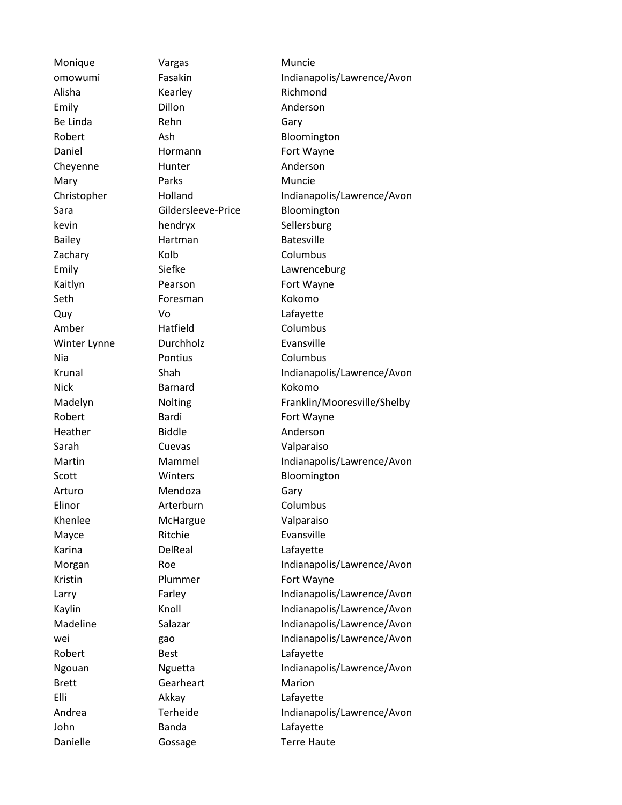Monique **Vargas** Vargas Muncie Alisha Kearley Richmond Emily Dillon Dillon Anderson Be Linda **Rehn** Gary Daniel **Hormann** Fort Wayne Cheyenne Hunter Anderson Mary Parks Parks Muncie kevin hendryx Sellersburg Bailey **Hartman** Batesville Zachary Kolb Columbus Kaitlyn Pearson Fort Wayne Seth **Foresman** Kokomo Quy Vo Lafayette Amber Hatfield Columbus Winter Lynne **Durchholz** Evansville Nia Pontius Columbus Nick Barnard Kokomo Robert Bardi Bardi Fort Wayne Heather **Biddle Biddle Anderson** Sarah Cuevas Valparaiso Arturo Mendoza Gary Elinor **Arterburn** Columbus Khenlee McHargue Valparaiso Mayce Ritchie Evansville Karina DelReal Lafayette Kristin Plummer Fort Wayne Robert Best Best Lafayette Brett Gearheart Marion Elli Akkay Lafayette John Banda Lafayette Danielle **Gossage** Terre Haute

omowumi Fasakin Indianapolis/Lawrence/Avon Robert Ash Ash Bloomington Christopher Holland Indianapolis/Lawrence/Avon Sara Gildersleeve-Price Bloomington Emily Siefke Lawrenceburg Krunal Shah Shah Indianapolis/Lawrence/Avon Madelyn Nolting Franklin/Mooresville/Shelby Martin Mammel Indianapolis/Lawrence/Avon Scott Winters Bloomington Morgan Roe Roe Indianapolis/Lawrence/Avon Larry Farley Indianapolis/Lawrence/Avon Kaylin Knoll Knoll Indianapolis/Lawrence/Avon Madeline Salazar Indianapolis/Lawrence/Avon wei and gao Indianapolis/Lawrence/Avon Ngouan **Indianapolis/Lawrence/Avon** Nguetta Indianapolis/Lawrence/Avon Andrea Terheide Indianapolis/Lawrence/Avon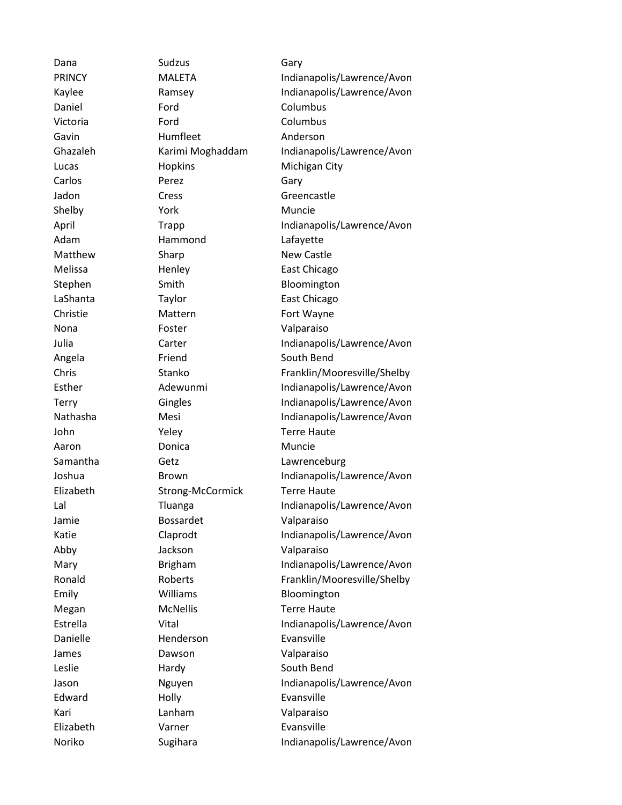Dana Sudzus Gary Daniel **Ford** Ford Columbus Victoria Ford Columbus Gavin Humfleet Anderson Carlos Perez Gary Shelby **York** Muncie Adam Hammond Lafayette Nona **Foster Valparaiso** Aaron **Donica** Donica Muncie Jamie Bossardet Valparaiso Abby Jackson Valparaiso Danielle Henderson Evansville James Dawson Dawson Valparaiso Edward Holly Holly Evansville Kari Lanham Valparaiso Elizabeth Varner Evansville

PRINCY MALETA Indianapolis/Lawrence/Avon Kaylee Ramsey **Indianapolis/Lawrence/Avon** Ghazaleh Karimi Moghaddam Indianapolis/Lawrence/Avon Lucas **Hopkins** Hopkins Michigan City Jadon Cress Greencastle April Trapp Indianapolis/Lawrence/Avon Matthew Sharp Sharp New Castle Melissa Henley East Chicago Stephen Smith Bloomington LaShanta Taylor Taylor East Chicago Christie Mattern Fort Wayne Julia Carter Carter Indianapolis/Lawrence/Avon Angela Friend South Bend Chris Stanko Franklin/Mooresville/Shelby Esther **Adewunmi** Indianapolis/Lawrence/Avon Terry Gingles Gingles Indianapolis/Lawrence/Avon Nathasha Mesi Mesi Indianapolis/Lawrence/Avon John Yeley Terre Haute Samantha Getz **Geta** Getz **Lawrenceburg** Joshua Brown Indianapolis/Lawrence/Avon Elizabeth Strong-McCormick Terre Haute Lal **Indianapolis/Lawrence/Avon** Katie Claprodt Indianapolis/Lawrence/Avon Mary Brigham Indianapolis/Lawrence/Avon Ronald Roberts Franklin/Mooresville/Shelby Emily **Williams** Bloomington Megan McNellis Terre Haute Estrella Vital Vital Indianapolis/Lawrence/Avon Leslie Hardy Hardy South Bend Jason Nguyen Indianapolis/Lawrence/Avon Noriko Sugihara Indianapolis/Lawrence/Avon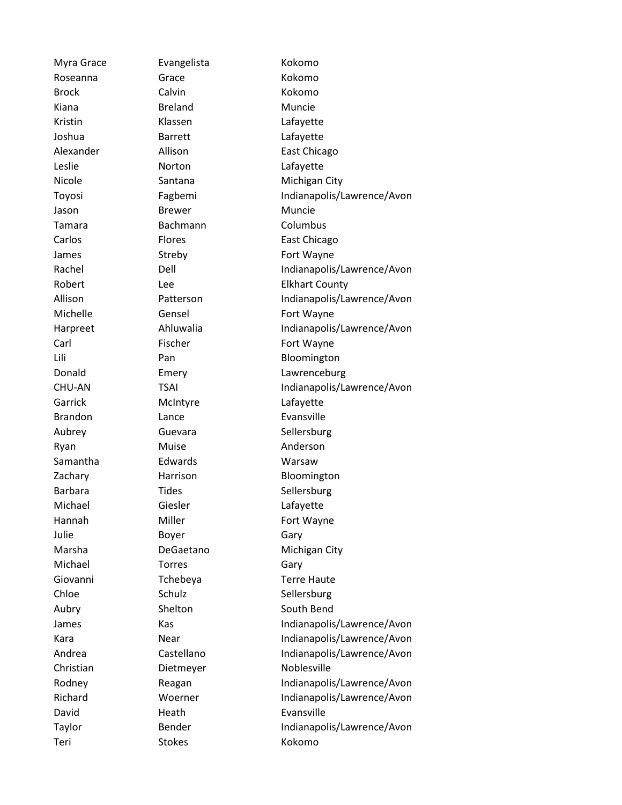Myra Grace **Evangelista** Kokomo Roseanna Grace Kokomo Brock Calvin Calvin Kokomo Kiana **Breland** Muncie Kristin Klassen Lafayette Joshua Barrett Lafayette Leslie **Norton** Lafayette Jason Brewer Muncie Tamara Bachmann Columbus James Streby Streby Fort Wayne Michelle **Gensel** Gensel Fort Wayne Carl Fischer Fort Wayne Garrick McIntyre Lafayette Brandon Lance Evansville Aubrey Guevara Sellersburg Ryan Muise Muise Anderson Samantha Edwards Warsaw Barbara Tides Times Sellersburg Michael Giesler Lafayette Hannah Miller **Miller** Fort Wayne Julie Boyer Gary Michael **Torres** Gary Giovanni Tchebeya Terre Haute Chloe Schulz Schulz Sellersburg Aubry Shelton Shelton South Bend Christian Dietmeyer Noblesville David Heath **Evansville** Teri Stokes Kokomo

Alexander Allison East Chicago Nicole **Santana** Santana Michigan City Toyosi Fagbemi Indianapolis/Lawrence/Avon Carlos Flores East Chicago Rachel Dell Dell Indianapolis/Lawrence/Avon Robert Lee Lee Elkhart County Allison Patterson Indianapolis/Lawrence/Avon Harpreet Ahluwalia Indianapolis/Lawrence/Avon Lili Pan Pan Bloomington Donald Emery Lawrenceburg CHU-AN TSAI TSAI Indianapolis/Lawrence/Avon Zachary **Harrison** Harrison Bloomington Marsha DeGaetano Michigan City James Kas Kas Indianapolis/Lawrence/Avon Kara **Near** Near Indianapolis/Lawrence/Avon Andrea Castellano Indianapolis/Lawrence/Avon Rodney Reagan Indianapolis/Lawrence/Avon Richard Woerner Indianapolis/Lawrence/Avon Taylor Bender Indianapolis/Lawrence/Avon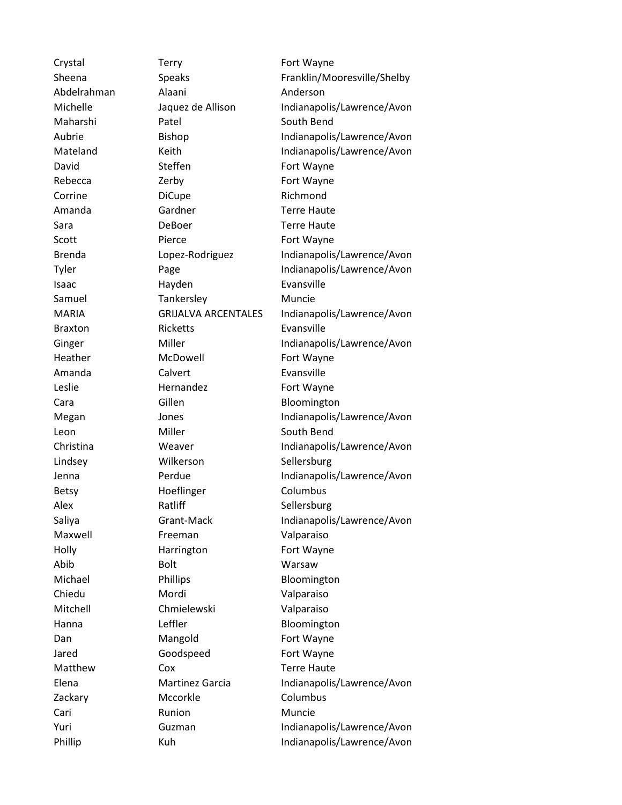Crystal Terry Fort Wayne Abdelrahman Alaani Anderson Maharshi Patel South Bend David Steffen Fort Wayne Rebecca **Zerby Fort Wayne** Corrine DiCupe DiCupe Richmond Amanda Gardner Terre Haute Sara **DeBoer** Deboer **Terre Haute** Scott Pierce Fort Wayne Isaac Hayden Evansville Samuel Tankersley Muncie Braxton Ricketts Evansville Heather McDowell Fort Wayne Amanda Calvert Evansville Leslie Hernandez Fort Wayne Cara Gillen Gillen Bloomington Leon Miller Miller South Bend Lindsey **Wilkerson** Sellersburg Betsy Hoeflinger Columbus Alex Ratliff Sellersburg Maxwell **Freeman** Valparaiso Holly Harrington Fort Wayne Abib Bolt Warsaw Michael Phillips Phillips Bloomington Chiedu Mordi Valparaiso Mitchell Chmielewski Valparaiso Hanna **Leffler** Bloomington Dan Mangold Fort Wayne Jared Goodspeed Fort Wayne Matthew Cox Cox Terre Haute Zackary Mccorkle Columbus Cari Runion Runion Muncie

Sheena Speaks Franklin/Mooresville/Shelby Michelle Jaquez de Allison Indianapolis/Lawrence/Avon Aubrie Bishop Indianapolis/Lawrence/Avon Mateland Keith Indianapolis/Lawrence/Avon Brenda Lopez-Rodriguez Indianapolis/Lawrence/Avon Tyler Page Indianapolis/Lawrence/Avon MARIA GRIJALVA ARCENTALES Indianapolis/Lawrence/Avon Ginger Miller Miller Indianapolis/Lawrence/Avon Megan Jones Indianapolis/Lawrence/Avon Christina **Weaver** Indianapolis/Lawrence/Avon Jenna Perdue Indianapolis/Lawrence/Avon Saliya Grant-Mack Indianapolis/Lawrence/Avon Elena Martinez Garcia Indianapolis/Lawrence/Avon Yuri Guzman Indianapolis/Lawrence/Avon Phillip Kuh Kuh Indianapolis/Lawrence/Avon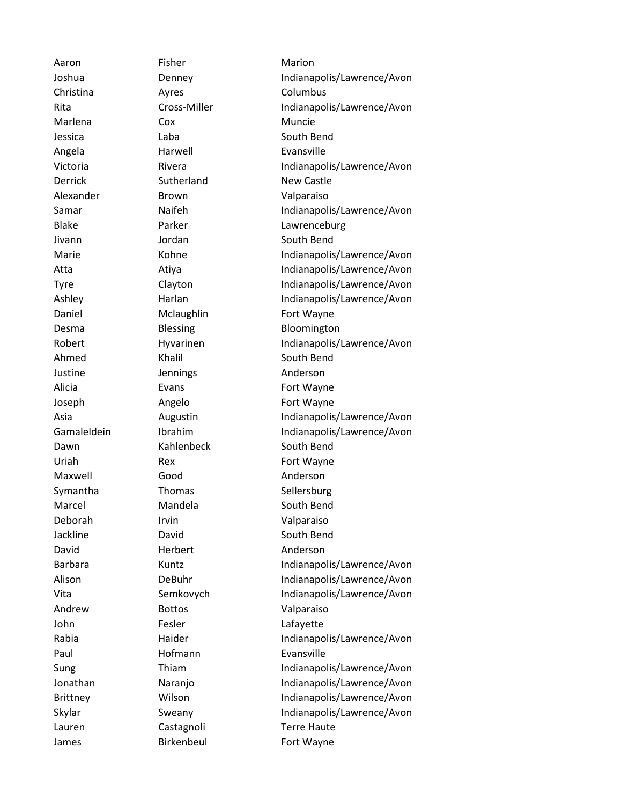Aaron Fisher **Fisher** Marion Christina **Ayres** Columbus Marlena Cox Cox Muncie Jessica Laba Laba South Bend Angela Harwell Evansville Derrick Sutherland New Castle Alexander Brown Valparaiso Jivann Jordan South Bend Daniel Mclaughlin Fort Wayne Ahmed Khalil South Bend Justine Jennings Anderson Alicia **Evans** Evans Fort Wayne Joseph Angelo Fort Wayne Dawn Kahlenbeck South Bend Uriah Rex Rex Fort Wayne Maxwell Good Good Anderson Symantha Thomas Sellersburg Marcel Mandela South Bend Deborah Irvin Valparaiso Jackline **David** David South Bend David Herbert Anderson Andrew Bottos **Valparaiso** John Fesler Lafayette Paul **Hofmann** Evansville Lauren Castagnoli Castagnoli Terre Haute James Birkenbeul Fort Wayne

Joshua Denney Indianapolis/Lawrence/Avon Rita Cross-Miller Indianapolis/Lawrence/Avon Victoria Rivera Rivera Indianapolis/Lawrence/Avon Samar **Naifeh** Indianapolis/Lawrence/Avon Blake Parker Lawrenceburg Marie Kohne Indianapolis/Lawrence/Avon Atta Atiya Indianapolis/Lawrence/Avon Tyre Clayton Clayton Indianapolis/Lawrence/Avon Ashley Harlan Harlan Indianapolis/Lawrence/Avon Desma Blessing Bloomington Robert Hyvarinen Indianapolis/Lawrence/Avon Asia **Augustin** Augustin Indianapolis/Lawrence/Avon Gamaleldein Ibrahim Indianapolis/Lawrence/Avon Barbara Kuntz **Indianapolis/Lawrence/Avon** Alison DeBuhr Indianapolis/Lawrence/Avon Vita Semkovych Indianapolis/Lawrence/Avon Rabia **Indianapolis/Lawrence/Avon** Sung Thiam Thiam Indianapolis/Lawrence/Avon Jonathan **Naranjo Indianapolis/Lawrence/Avon** Brittney **Wilson** Wilson Indianapolis/Lawrence/Avon Skylar Sweany Indianapolis/Lawrence/Avon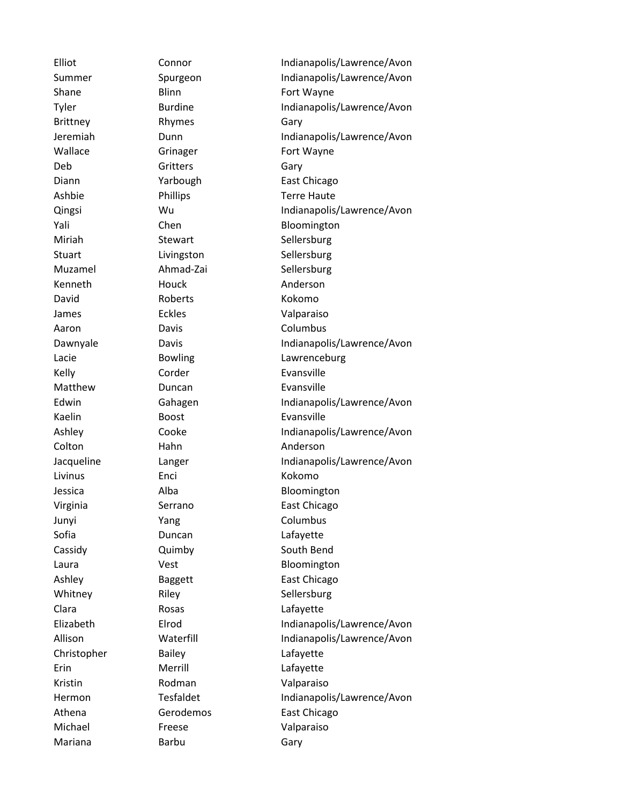Brittney Rhymes Gary Deb Gritters Gary Kenneth **Houck** Anderson David Roberts Kokomo James Eckles **Existence** Valparaiso Aaron Davis Davis Columbus Kelly Corder Corder Evansville Matthew **Duncan Evansville** Kaelin Boost Evansville Colton Hahn Anderson Livinus Enci Kokomo Junyi Yang Columbus Sofia **Duncan** Duncan Lafayette Clara Rosas Rosas Lafayette Christopher Bailey Christopher Bailey Erin Merrill Lafayette Kristin Rodman Valparaiso Michael Freese Valparaiso Mariana **Barbu** Barbu Gary

Elliot Connor Connor Indianapolis/Lawrence/Avon Summer Spurgeon Indianapolis/Lawrence/Avon Shane Blinn Blinn Fort Wayne Tyler Burdine Indianapolis/Lawrence/Avon Jeremiah Dunn Indianapolis/Lawrence/Avon Wallace **Grinager** Grinager **Fort Wayne** Diann **Yarbough** East Chicago Ashbie Phillips Terre Haute Qingsi Wu Indianapolis/Lawrence/Avon Yali Chen Bloomington Miriah Stewart Sellersburg Stuart Livingston Sellersburg Muzamel Ahmad-Zai Sellersburg Dawnyale Davis Indianapolis/Lawrence/Avon Lacie Bowling Lawrenceburg Edwin Gahagen Indianapolis/Lawrence/Avon Ashley Cooke Indianapolis/Lawrence/Avon Jacqueline Langer Indianapolis/Lawrence/Avon Jessica Alba Alba Bloomington Virginia Serrano East Chicago Cassidy **Cassidy** Quimby South Bend Laura **Vest** Vest **Bloomington** Ashley Baggett East Chicago Whitney Riley Riley Sellersburg Elizabeth Elrod Indianapolis/Lawrence/Avon Allison Waterfill Indianapolis/Lawrence/Avon Hermon Tesfaldet Indianapolis/Lawrence/Avon Athena Gerodemos East Chicago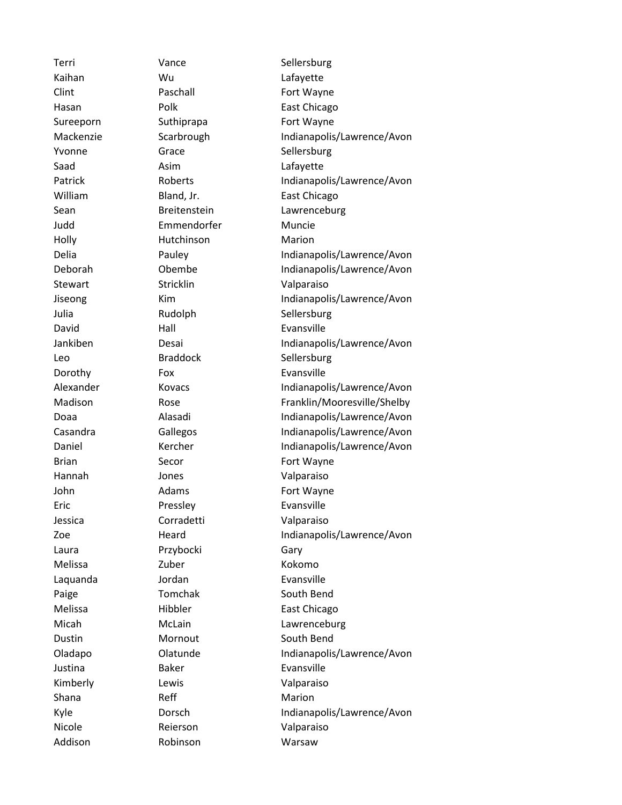Kaihan Wu Lafayette Clint Paschall Fort Wayne Sureeporn Suthiprapa Fort Wayne Yvonne Grace Sellersburg Saad Asim Asim Lafayette Judd Emmendorfer Muncie Holly Hutchinson Marion Stewart Stricklin Stricklin Valparaiso Julia Rudolph Sellersburg David Hall Evansville Leo Braddock Sellersburg Dorothy Fox Fox Evansville Brian Secor **Fort Wayne** Hannah Jones Valparaiso John Adams Fort Wayne Eric Pressley **Evansville** Jessica Corradetti Valparaiso Laura Przybocki Gary Melissa Zuber Zuber Kokomo Laquanda **Jordan Evansville** Paige Tomchak South Bend Dustin Mornout South Bend Justina **Baker** Baker Evansville Kimberly **Lewis Lewis Valparaiso** Shana Reff Reff Marion Nicole Reierson Valparaiso Addison Robinson Warsaw

Terri Vance Sellersburg Hasan Polk East Chicago Mackenzie Scarbrough Indianapolis/Lawrence/Avon Patrick Roberts Roberts Indianapolis/Lawrence/Avon William Bland, Jr. Bland Bland East Chicago Sean Breitenstein Lawrenceburg Delia Pauley Indianapolis/Lawrence/Avon Deborah Obembe Indianapolis/Lawrence/Avon Jiseong Kim Kim Indianapolis/Lawrence/Avon Jankiben Desai Indianapolis/Lawrence/Avon Alexander Kovacs Indianapolis/Lawrence/Avon Madison Rose Rose Franklin/Mooresville/Shelby Doaa Alasadi Indianapolis/Lawrence/Avon Casandra Gallegos Indianapolis/Lawrence/Avon Daniel **Kercher Indianapolis/Lawrence/Avon** Zoe **Heard** Heard Indianapolis/Lawrence/Avon Melissa Hibbler East Chicago Micah McLain Lawrenceburg Oladapo Clatunde Indianapolis/Lawrence/Avon Kyle **Dorsch** Dorsch Indianapolis/Lawrence/Avon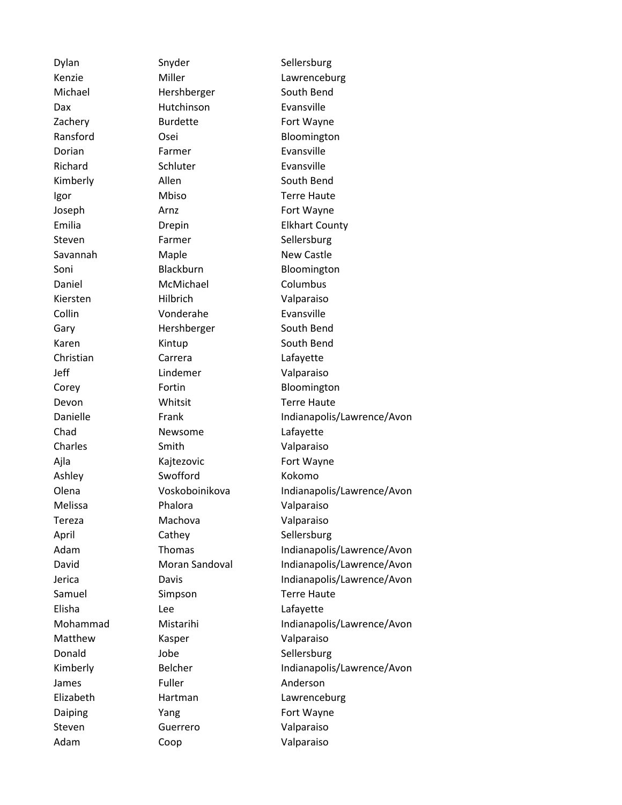Dylan Snyder Snyder Sellersburg Michael Hershberger South Bend Dax **Hutchinson** Evansville Zachery Burdette **Fort Wayne** Ransford Osei Bloomington Dorian Farmer Evansville Richard Schluter Evansville Kimberly **Allen** Allen South Bend Igor Mbiso Terre Haute Joseph Arnz Arnz Fort Wayne Steven Farmer Sellersburg Savannah Maple Maple New Castle Soni Blackburn Bloomington Daniel McMichael Columbus Kiersten Hilbrich Valparaiso Collin **Collin** Vonderahe **Evansville** Gary **Hershberger** South Bend Karen Kintup South Bend Christian Carrera Lafayette Jeff **Lindemer** Valparaiso Corey Fortin Bloomington Devon Whitsit Terre Haute Chad Newsome Lafayette Charles Smith Valparaiso Ajla Kajtezovic Fort Wayne Ashley Swofford Kokomo Melissa Phalora Valparaiso Tereza Machova Valparaiso April Cathey Carrent Cathey Sellersburg Samuel Simpson Terre Haute Elisha Lee Lafayette Matthew **Kasper** Kasper Valparaiso Donald Jobe Sellersburg James Fuller Fuller Anderson Daiping **Fort Wayne** Yang **Fort Wayne** Steven Guerrero Valparaiso Adam Coop Valparaiso

Kenzie Miller Miller Lawrenceburg Emilia **Drepin** Drepin Elkhart County Danielle Frank France/Avon Indianapolis/Lawrence/Avon Olena Voskoboinikova Indianapolis/Lawrence/Avon Adam Thomas Indianapolis/Lawrence/Avon David Moran Sandoval Indianapolis/Lawrence/Avon Jerica Davis Indianapolis/Lawrence/Avon Mohammad Mistarihi Indianapolis/Lawrence/Avon Kimberly Belcher Indianapolis/Lawrence/Avon Elizabeth Hartman Lawrenceburg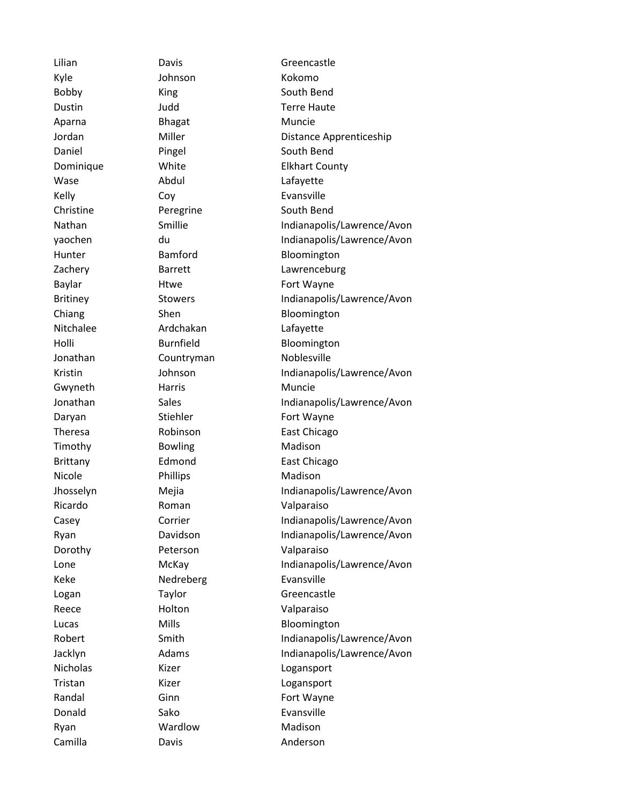Kyle Johnson Kokomo Bobby King South Bend Aparna Bhagat Muncie Wase Abdul Abdul Lafayette Kelly Coy Coversing Evansville Christine Peregrine South Bend Nitchalee Ardchakan Lafayette Jonathan Countryman Noblesville Gwyneth Harris Muncie Timothy **Bowling** Madison Nicole Phillips Phillips Madison Ricardo **Roman** Valparaiso Dorothy Peterson Valparaiso Keke Nedreberg Evansville Reece Holton Valparaiso Nicholas Kizer **Kizer** Logansport Tristan Kizer Kizer Logansport Donald Sako Evansville Ryan Wardlow Madison Camilla **Davis** Davis **Anderson** 

Lilian Davis Davis Greencastle Dustin Judd Terre Haute Jordan Miller Distance Apprenticeship Daniel Pingel South Bend Dominique White Elkhart County Nathan Smillie Indianapolis/Lawrence/Avon yaochen du Indianapolis/Lawrence/Avon Hunter **Bamford** Bloomington Zachery Barrett Lawrenceburg Baylar **Htwe** Htwe Fort Wayne Britiney Stowers Indianapolis/Lawrence/Avon Chiang Shen Shen Bloomington Holli Burnfield Bloomington Kristin Johnson Indianapolis/Lawrence/Avon Jonathan Sales Sales Indianapolis/Lawrence/Avon Daryan Stiehler Fort Wayne Theresa Robinson East Chicago Brittany **Edmond** East Chicago Jhosselyn Mejia Indianapolis/Lawrence/Avon Casey Corrier Corrier Indianapolis/Lawrence/Avon Ryan Davidson Indianapolis/Lawrence/Avon Lone McKay Indianapolis/Lawrence/Avon Logan Taylor Taylor Greencastle Lucas Mills Mills Bloomington Robert Smith Smith Indianapolis/Lawrence/Avon Jacklyn Adams Adams Indianapolis/Lawrence/Avon Randal Ginn Ginn Fort Wayne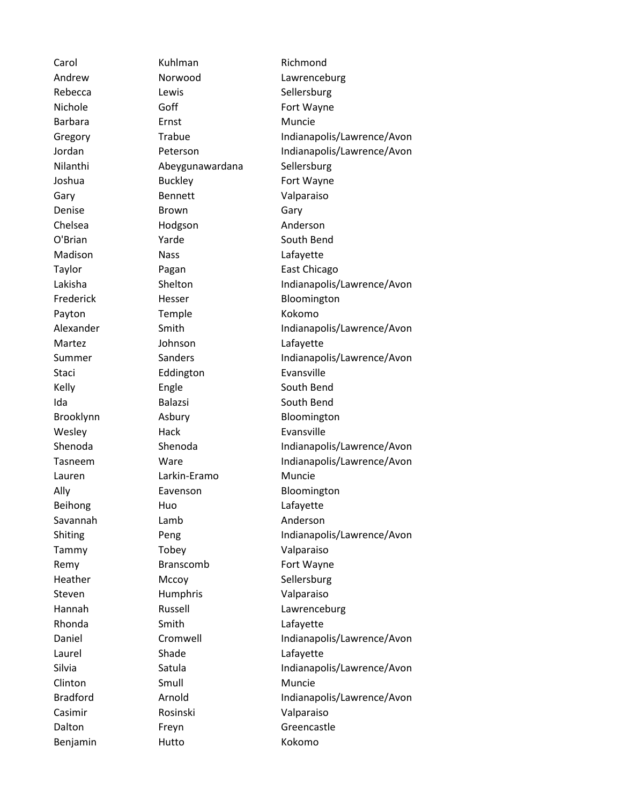Rebecca Lewis Lewis Sellersburg Barbara **Ernst** Ernst Muncie Nilanthi Abeygunawardana Sellersburg Gary Bennett Valparaiso Denise **Brown** Gary Chelsea Hodgson Anderson Madison Nass Nass Lafayette Payton Temple Kokomo Martez Johnson Lafayette Staci Eddington Evansville Kelly **Engle** Engle South Bend Ida Balazsi South Bend Wesley Hack Hack Evansville Lauren Larkin-Eramo Muncie Beihong Huo Huo Lafayette Savannah Lamb Anderson Tammy Tobey Valparaiso Heather Mccoy Sellersburg Steven Humphris Valparaiso Rhonda Smith Smith Lafayette Laurel Shade Shade Lafayette Clinton Smull Muncie Casimir Rosinski Valparaiso Benjamin Hutto Kokomo

Carol **Kuhlman** Richmond Andrew **Norwood** Lawrenceburg Nichole **Goff** Goff **Goff** Fort Wayne Gregory Trabue Indianapolis/Lawrence/Avon Jordan Peterson Indianapolis/Lawrence/Avon Joshua Buckley **Fort Wayne** O'Brian Yarde South Bend Taylor **Pagan** Pagan **East Chicago** Lakisha Shelton Indianapolis/Lawrence/Avon Frederick Hesser Bloomington Alexander Smith Smith Indianapolis/Lawrence/Avon Summer Sanders Sanders Indianapolis/Lawrence/Avon Brooklynn Asbury Bloomington Shenoda Shenoda Shenoda Indianapolis/Lawrence/Avon Tasneem Ware Indianapolis/Lawrence/Avon Ally **Eavenson** Bloomington Shiting Peng Peng Indianapolis/Lawrence/Avon Remy Branscomb Fort Wayne Hannah Russell **Lawrenceburg** Daniel Cromwell Indianapolis/Lawrence/Avon Silvia Satula Satula Indianapolis/Lawrence/Avon Bradford **Arnold** Arnold **Indianapolis/Lawrence/Avon** Dalton Freyn Greencastle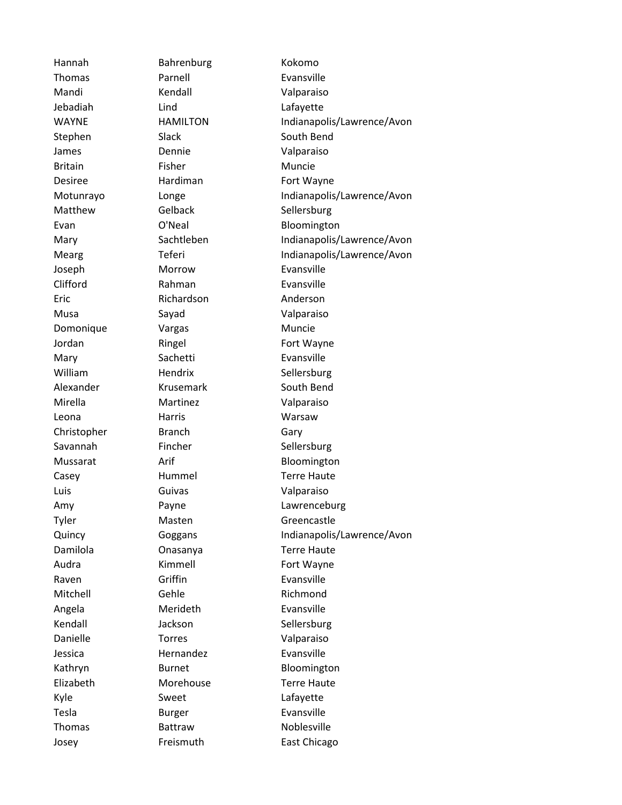Hannah Bahrenburg Kokomo Thomas Parnell Evansville Mandi Kendall Valparaiso Jebadiah Lind Lafayette Stephen Slack South Bend James Dennie Valparaiso Britain Fisher Fisher Muncie Desiree **Hardiman** Fort Wayne Matthew Gelback Sellersburg Joseph Morrow Evansville Clifford Rahman Evansville Eric Richardson Anderson Musa Sayad Valparaiso Domonique Vargas Muncie Jordan Ringel Fort Wayne Mary Sachetti Evansville William Hendrix Sellersburg Alexander Krusemark South Bend Mirella Martinez Valparaiso Leona **Harris** Harris Warsaw Christopher Branch Gary Savannah Fincher Sellersburg Casey Hummel Terre Haute Luis Guivas Valparaiso Tyler Masten Greencastle Damilola Onasanya Terre Haute Audra **Kimmell** Fort Wayne Raven Griffin Evansville Mitchell Gehle Gehendels Richmond Angela Merideth Evansville Kendall **Sellersburg** Jackson Sellersburg Danielle Torres Valparaiso Jessica Hernandez Evansville Elizabeth Morehouse Terre Haute Kyle Sweet Lafayette Tesla Burger Evansville Thomas Battraw Noblesville

WAYNE HAMILTON Indianapolis/Lawrence/Avon Motunrayo Longe Indianapolis/Lawrence/Avon Evan **O'Neal** Bloomington Mary Sachtleben Indianapolis/Lawrence/Avon Mearg Teferi Teferi Indianapolis/Lawrence/Avon Mussarat **Arif** Arif **Arif Bloomington** Amy Payne Lawrenceburg Quincy Goggans Indianapolis/Lawrence/Avon Kathryn Burnet Bloomington Josey Freismuth East Chicago